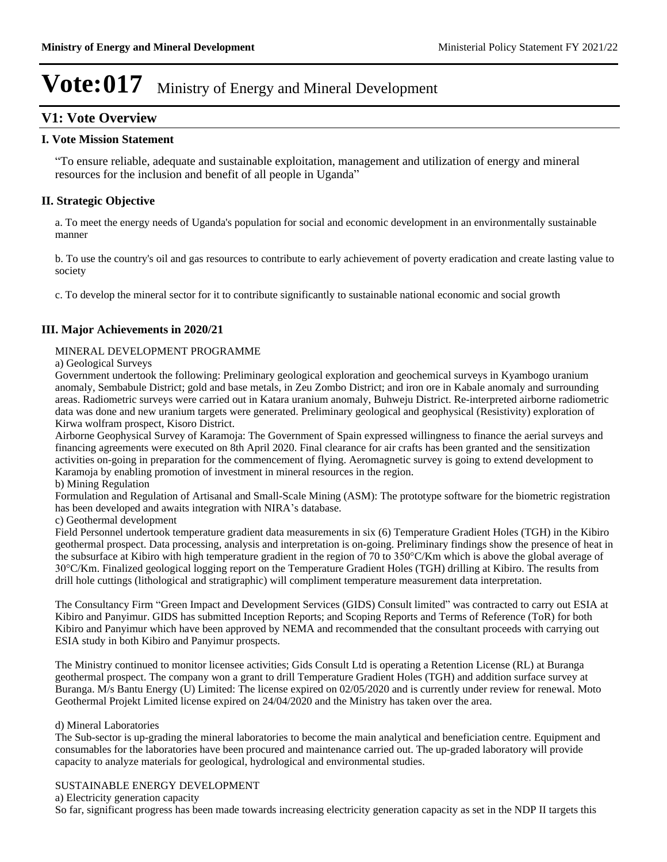### **V1: Vote Overview**

#### **I. Vote Mission Statement**

³To ensure reliable, adequate and sustainable exploitation, management and utilization of energy and mineral resources for the inclusion and benefit of all people in Uganda´

### **II. Strategic Objective**

a. To meet the energy needs of Uganda's population for social and economic development in an environmentally sustainable manner

b. To use the country's oil and gas resources to contribute to early achievement of poverty eradication and create lasting value to society

c. To develop the mineral sector for it to contribute significantly to sustainable national economic and social growth

### **III. Major Achievements in 2020/21**

#### MINERAL DEVELOPMENT PROGRAMME

a) Geological Surveys

Government undertook the following: Preliminary geological exploration and geochemical surveys in Kyambogo uranium anomaly, Sembabule District; gold and base metals, in Zeu Zombo District; and iron ore in Kabale anomaly and surrounding areas. Radiometric surveys were carried out in Katara uranium anomaly, Buhweju District. Re-interpreted airborne radiometric data was done and new uranium targets were generated. Preliminary geological and geophysical (Resistivity) exploration of Kirwa wolfram prospect, Kisoro District.

Airborne Geophysical Survey of Karamoja: The Government of Spain expressed willingness to finance the aerial surveys and financing agreements were executed on 8th April 2020. Final clearance for air crafts has been granted and the sensitization activities on-going in preparation for the commencement of flying. Aeromagnetic survey is going to extend development to Karamoja by enabling promotion of investment in mineral resources in the region.

#### b) Mining Regulation

Formulation and Regulation of Artisanal and Small-Scale Mining (ASM): The prototype software for the biometric registration has been developed and awaits integration with NIRA's database.

c) Geothermal development

Field Personnel undertook temperature gradient data measurements in six (6) Temperature Gradient Holes (TGH) in the Kibiro geothermal prospect. Data processing, analysis and interpretation is on-going. Preliminary findings show the presence of heat in the subsurface at Kibiro with high temperature gradient in the region of 70 to  $350^{\circ}$ C/Km which is above the global average of C/Km. Finalized geological logging report on the Temperature Gradient Holes (TGH) drilling at Kibiro. The results from drill hole cuttings (lithological and stratigraphic) will compliment temperature measurement data interpretation.

The Consultancy Firm "Green Impact and Development Services (GIDS) Consult limited" was contracted to carry out ESIA at Kibiro and Panyimur. GIDS has submitted Inception Reports; and Scoping Reports and Terms of Reference (ToR) for both Kibiro and Panyimur which have been approved by NEMA and recommended that the consultant proceeds with carrying out ESIA study in both Kibiro and Panyimur prospects.

The Ministry continued to monitor licensee activities; Gids Consult Ltd is operating a Retention License (RL) at Buranga geothermal prospect. The company won a grant to drill Temperature Gradient Holes (TGH) and addition surface survey at Buranga. M/s Bantu Energy (U) Limited: The license expired on 02/05/2020 and is currently under review for renewal. Moto Geothermal Projekt Limited license expired on 24/04/2020 and the Ministry has taken over the area.

#### d) Mineral Laboratories

The Sub-sector is up-grading the mineral laboratories to become the main analytical and beneficiation centre. Equipment and consumables for the laboratories have been procured and maintenance carried out. The up-graded laboratory will provide capacity to analyze materials for geological, hydrological and environmental studies.

#### SUSTAINABLE ENERGY DEVELOPMENT

a) Electricity generation capacity

So far, significant progress has been made towards increasing electricity generation capacity as set in the NDP II targets this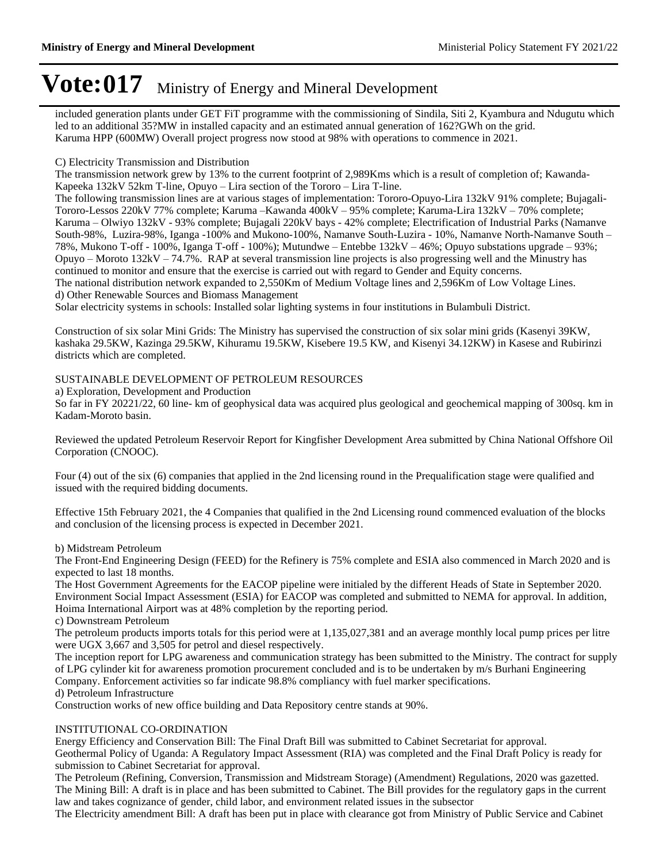included generation plants under GET FiT programme with the commissioning of Sindila, Siti 2, Kyambura and Ndugutu which led to an additional 35?MW in installed capacity and an estimated annual generation of 162?GWh on the grid. Karuma HPP (600MW) Overall project progress now stood at 98% with operations to commence in 2021.

#### C) Electricity Transmission and Distribution

The transmission network grew by 13% to the current footprint of 2,989Kms which is a result of completion of; Kawanda-Kapeeka  $132kV$  52km T-line, Opuyo – Lira section of the Tororo – Lira T-line.

The following transmission lines are at various stages of implementation: Tororo-Opuyo-Lira 132kV 91% complete; Bujagali-Tororo-Lessos 220kV 77% complete; Karuma -Kawanda 400kV - 95% complete; Karuma-Lira 132kV - 70% complete; Karuma – Olwiyo 132kV - 93% complete; Bujagali 220kV bays - 42% complete; Electrification of Industrial Parks (Namanve South-98%, Luzira-98%, Iganga -100% and Mukono-100%, Namanve South-Luzira - 10%, Namanve North-Namanve South -78%, Mukono T-off - 100%, Iganga T-off - 100%); Mutundwe – Entebbe 132kV – 46%; Opuyo substations upgrade – 93%; Opuyo – Moroto 132kV – 74.7%. RAP at several transmission line projects is also progressing well and the Minustry has continued to monitor and ensure that the exercise is carried out with regard to Gender and Equity concerns.

The national distribution network expanded to 2,550Km of Medium Voltage lines and 2,596Km of Low Voltage Lines. d) Other Renewable Sources and Biomass Management

Solar electricity systems in schools: Installed solar lighting systems in four institutions in Bulambuli District.

Construction of six solar Mini Grids: The Ministry has supervised the construction of six solar mini grids (Kasenyi 39KW, kashaka 29.5KW, Kazinga 29.5KW, Kihuramu 19.5KW, Kisebere 19.5 KW, and Kisenyi 34.12KW) in Kasese and Rubirinzi districts which are completed.

### SUSTAINABLE DEVELOPMENT OF PETROLEUM RESOURCES

a) Exploration, Development and Production

So far in FY 20221/22, 60 line- km of geophysical data was acquired plus geological and geochemical mapping of 300sq. km in Kadam-Moroto basin.

Reviewed the updated Petroleum Reservoir Report for Kingfisher Development Area submitted by China National Offshore Oil Corporation (CNOOC).

Four (4) out of the six (6) companies that applied in the 2nd licensing round in the Prequalification stage were qualified and issued with the required bidding documents.

Effective 15th February 2021, the 4 Companies that qualified in the 2nd Licensing round commenced evaluation of the blocks and conclusion of the licensing process is expected in December 2021.

#### b) Midstream Petroleum

The Front-End Engineering Design (FEED) for the Refinery is 75% complete and ESIA also commenced in March 2020 and is expected to last 18 months.

The Host Government Agreements for the EACOP pipeline were initialed by the different Heads of State in September 2020. Environment Social Impact Assessment (ESIA) for EACOP was completed and submitted to NEMA for approval. In addition, Hoima International Airport was at 48% completion by the reporting period.

c) Downstream Petroleum

The petroleum products imports totals for this period were at 1,135,027,381 and an average monthly local pump prices per litre were UGX 3,667 and 3,505 for petrol and diesel respectively.

The inception report for LPG awareness and communication strategy has been submitted to the Ministry. The contract for supply of LPG cylinder kit for awareness promotion procurement concluded and is to be undertaken by m/s Burhani Engineering Company. Enforcement activities so far indicate 98.8% compliancy with fuel marker specifications.

d) Petroleum Infrastructure

Construction works of new office building and Data Repository centre stands at 90%.

#### INSTITUTIONAL CO-ORDINATION

Energy Efficiency and Conservation Bill: The Final Draft Bill was submitted to Cabinet Secretariat for approval. Geothermal Policy of Uganda: A Regulatory Impact Assessment (RIA) was completed and the Final Draft Policy is ready for submission to Cabinet Secretariat for approval.

The Petroleum (Refining, Conversion, Transmission and Midstream Storage) (Amendment) Regulations, 2020 was gazetted. The Mining Bill: A draft is in place and has been submitted to Cabinet. The Bill provides for the regulatory gaps in the current law and takes cognizance of gender, child labor, and environment related issues in the subsector

The Electricity amendment Bill: A draft has been put in place with clearance got from Ministry of Public Service and Cabinet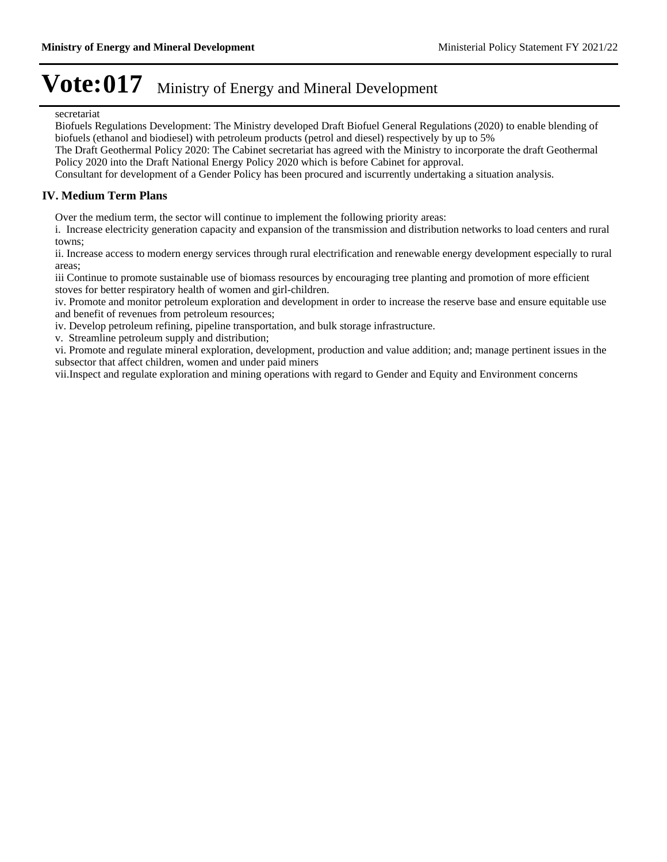#### secretariat

Biofuels Regulations Development: The Ministry developed Draft Biofuel General Regulations (2020) to enable blending of biofuels (ethanol and biodiesel) with petroleum products (petrol and diesel) respectively by up to 5%

The Draft Geothermal Policy 2020: The Cabinet secretariat has agreed with the Ministry to incorporate the draft Geothermal Policy 2020 into the Draft National Energy Policy 2020 which is before Cabinet for approval.

Consultant for development of a Gender Policy has been procured and iscurrently undertaking a situation analysis.

#### **IV. Medium Term Plans**

Over the medium term, the sector will continue to implement the following priority areas:

i. Increase electricity generation capacity and expansion of the transmission and distribution networks to load centers and rural towns;

ii. Increase access to modern energy services through rural electrification and renewable energy development especially to rural areas;

iii Continue to promote sustainable use of biomass resources by encouraging tree planting and promotion of more efficient stoves for better respiratory health of women and girl-children.

iv. Promote and monitor petroleum exploration and development in order to increase the reserve base and ensure equitable use and benefit of revenues from petroleum resources;

iv. Develop petroleum refining, pipeline transportation, and bulk storage infrastructure.

v. Streamline petroleum supply and distribution;

vi. Promote and regulate mineral exploration, development, production and value addition; and; manage pertinent issues in the subsector that affect children, women and under paid miners

vii.Inspect and regulate exploration and mining operations with regard to Gender and Equity and Environment concerns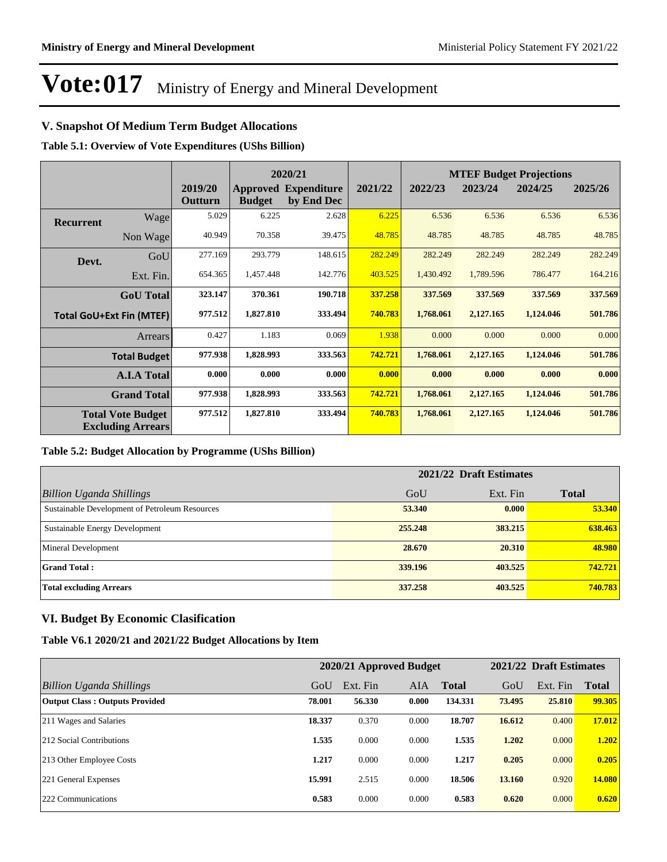### **V. Snapshot Of Medium Term Budget Allocations**

**Table 5.1: Overview of Vote Expenditures (UShs Billion)**

|                  |                                                      |                    |               | 2020/21                                   |         |           | <b>MTEF Budget Projections</b> |           |         |
|------------------|------------------------------------------------------|--------------------|---------------|-------------------------------------------|---------|-----------|--------------------------------|-----------|---------|
|                  |                                                      | 2019/20<br>Outturn | <b>Budget</b> | <b>Approved Expenditure</b><br>by End Dec | 2021/22 | 2022/23   | 2023/24                        | 2024/25   | 2025/26 |
| <b>Recurrent</b> | Wage                                                 | 5.029              | 6.225         | 2.628                                     | 6.225   | 6.536     | 6.536                          | 6.536     | 6.536   |
|                  | Non Wage                                             | 40.949             | 70.358        | 39.475                                    | 48.785  | 48.785    | 48.785                         | 48.785    | 48.785  |
| Devt.            | GoU                                                  | 277.169            | 293.779       | 148.615                                   | 282.249 | 282.249   | 282.249                        | 282.249   | 282.249 |
|                  | Ext. Fin.                                            | 654.365            | 1,457.448     | 142.776                                   | 403.525 | 1,430.492 | 1,789.596                      | 786.477   | 164.216 |
|                  | <b>GoU</b> Total                                     | 323.147            | 370.361       | 190.718                                   | 337.258 | 337.569   | 337.569                        | 337.569   | 337.569 |
|                  | <b>Total GoU+Ext Fin (MTEF)</b>                      | 977.512            | 1,827.810     | 333.494                                   | 740.783 | 1,768.061 | 2,127.165                      | 1,124.046 | 501.786 |
|                  | Arrears                                              | 0.427              | 1.183         | 0.069                                     | 1.938   | 0.000     | 0.000                          | 0.000     | 0.000   |
|                  | <b>Total Budget</b>                                  | 977.938            | 1,828.993     | 333.563                                   | 742.721 | 1,768.061 | 2,127.165                      | 1,124.046 | 501.786 |
|                  | <b>A.I.A Total</b>                                   | 0.000              | 0.000         | 0.000                                     | 0.000   | 0.000     | 0.000                          | 0.000     | 0.000   |
|                  | <b>Grand Total</b>                                   | 977.938            | 1,828.993     | 333.563                                   | 742.721 | 1,768.061 | 2,127.165                      | 1,124.046 | 501.786 |
|                  | <b>Total Vote Budget</b><br><b>Excluding Arrears</b> | 977.512            | 1,827.810     | 333.494                                   | 740.783 | 1,768.061 | 2,127.165                      | 1,124.046 | 501.786 |

#### **Table 5.2: Budget Allocation by Programme (UShs Billion)**

|                                                | 2021/22 Draft Estimates |          |              |  |  |  |
|------------------------------------------------|-------------------------|----------|--------------|--|--|--|
| <b>Billion Uganda Shillings</b>                | GoU                     | Ext. Fin | <b>Total</b> |  |  |  |
| Sustainable Development of Petroleum Resources | 53,340                  | 0.000    | 53.340       |  |  |  |
| Sustainable Energy Development                 | 255,248                 | 383.215  | 638.463      |  |  |  |
| <b>Mineral Development</b>                     | 28.670                  | 20.310   | 48.980       |  |  |  |
| <b>Grand Total:</b>                            | 339.196                 | 403.525  | 742.721      |  |  |  |
| <b>Total excluding Arrears</b>                 | 337,258                 | 403.525  | 740.783      |  |  |  |

### **VI. Budget By Economic Clasification**

**Table V6.1 2020/21 and 2021/22 Budget Allocations by Item**

|                                       | 2020/21 Approved Budget |          |            |              |        | 2021/22 Draft Estimates |              |  |
|---------------------------------------|-------------------------|----------|------------|--------------|--------|-------------------------|--------------|--|
| Billion Uganda Shillings              | GoU                     | Ext. Fin | <b>AIA</b> | <b>Total</b> | GoU    | Ext. Fin                | <b>Total</b> |  |
| <b>Output Class: Outputs Provided</b> | 78.001                  | 56.330   | 0.000      | 134.331      | 73.495 | 25,810                  | 99.305       |  |
| 211 Wages and Salaries                | 18.337                  | 0.370    | 0.000      | 18.707       | 16.612 | 0.400                   | 17.012       |  |
| 212 Social Contributions              | 1.535                   | 0.000    | 0.000      | 1.535        | 1.202  | 0.000                   | 1.202        |  |
| 213 Other Employee Costs              | 1.217                   | 0.000    | 0.000      | 1.217        | 0.205  | 0.000                   | 0.205        |  |
| 221 General Expenses                  | 15.991                  | 2.515    | 0.000      | 18.506       | 13.160 | 0.920                   | 14.080       |  |
| 222 Communications                    | 0.583                   | 0.000    | 0.000      | 0.583        | 0.620  | 0.000                   | 0.620        |  |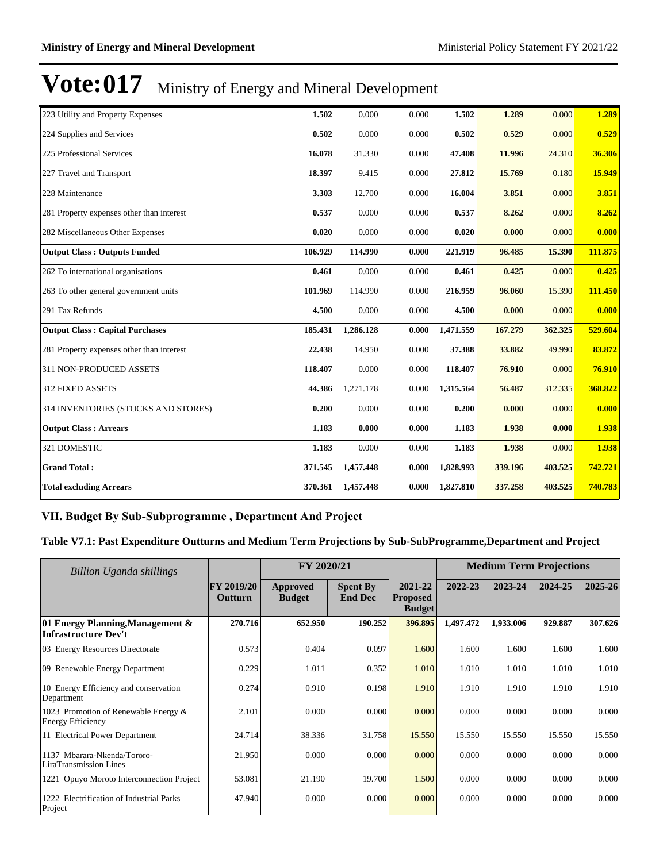| 223 Utility and Property Expenses         | 1.502   | 0.000     | 0.000 | 1.502     | 1.289   | 0.000   | 1.289   |
|-------------------------------------------|---------|-----------|-------|-----------|---------|---------|---------|
| 224 Supplies and Services                 | 0.502   | 0.000     | 0.000 | 0.502     | 0.529   | 0.000   | 0.529   |
| 225 Professional Services                 | 16.078  | 31.330    | 0.000 | 47.408    | 11.996  | 24.310  | 36.306  |
| 227 Travel and Transport                  | 18.397  | 9.415     | 0.000 | 27.812    | 15.769  | 0.180   | 15.949  |
| 228 Maintenance                           | 3.303   | 12.700    | 0.000 | 16.004    | 3.851   | 0.000   | 3.851   |
| 281 Property expenses other than interest | 0.537   | 0.000     | 0.000 | 0.537     | 8.262   | 0.000   | 8.262   |
| 282 Miscellaneous Other Expenses          | 0.020   | 0.000     | 0.000 | 0.020     | 0.000   | 0.000   | 0.000   |
| <b>Output Class: Outputs Funded</b>       | 106.929 | 114.990   | 0.000 | 221.919   | 96.485  | 15.390  | 111.875 |
| 262 To international organisations        | 0.461   | 0.000     | 0.000 | 0.461     | 0.425   | 0.000   | 0.425   |
| 263 To other general government units     | 101.969 | 114.990   | 0.000 | 216.959   | 96.060  | 15.390  | 111.450 |
| 291 Tax Refunds                           | 4.500   | 0.000     | 0.000 | 4.500     | 0.000   | 0.000   | 0.000   |
| <b>Output Class: Capital Purchases</b>    | 185.431 | 1,286.128 | 0.000 | 1,471.559 | 167.279 | 362.325 | 529.604 |
| 281 Property expenses other than interest | 22.438  | 14.950    | 0.000 | 37.388    | 33.882  | 49.990  | 83.872  |
| 311 NON-PRODUCED ASSETS                   | 118.407 | 0.000     | 0.000 | 118.407   | 76.910  | 0.000   | 76.910  |
| 312 FIXED ASSETS                          | 44.386  | 1,271.178 | 0.000 | 1,315.564 | 56.487  | 312.335 | 368.822 |
| 314 INVENTORIES (STOCKS AND STORES)       | 0.200   | 0.000     | 0.000 | 0.200     | 0.000   | 0.000   | 0.000   |
| <b>Output Class: Arrears</b>              | 1.183   | 0.000     | 0.000 | 1.183     | 1.938   | 0.000   | 1.938   |
| 321 DOMESTIC                              | 1.183   | 0.000     | 0.000 | 1.183     | 1.938   | 0.000   | 1.938   |
| <b>Grand Total:</b>                       | 371.545 | 1,457.448 | 0.000 | 1,828.993 | 339.196 | 403.525 | 742.721 |
| <b>Total excluding Arrears</b>            | 370.361 | 1,457.448 | 0.000 | 1,827.810 | 337.258 | 403.525 | 740.783 |

### VII. Budget By Sub-Subprogramme, Department And Project

**Table V7.1: Past Expenditure Outturns and Medium Term Projections by Sub-SubProgramme,Department and Project**

| Billion Uganda shillings                                         | FY 2020/21                   |                           |                                   |                                             | <b>Medium Term Projections</b> |           |         |         |
|------------------------------------------------------------------|------------------------------|---------------------------|-----------------------------------|---------------------------------------------|--------------------------------|-----------|---------|---------|
|                                                                  | <b>FY 2019/20</b><br>Outturn | Approved<br><b>Budget</b> | <b>Spent By</b><br><b>End Dec</b> | 2021-22<br><b>Proposed</b><br><b>Budget</b> | 2022-23                        | 2023-24   | 2024-25 | 2025-26 |
| 01 Energy Planning, Management &<br><b>Infrastructure Dev't</b>  | 270.716                      | 652.950                   | 190.252                           | 396.895                                     | 1,497.472                      | 1,933.006 | 929.887 | 307.626 |
| 03 Energy Resources Directorate                                  | 0.573                        | 0.404                     | 0.097                             | 1.600                                       | 1.600                          | 1.600     | 1.600   | 1.600   |
| 09 Renewable Energy Department                                   | 0.229                        | 1.011                     | 0.352                             | 1.010                                       | 1.010                          | 1.010     | 1.010   | 1.010   |
| 10 Energy Efficiency and conservation<br>Department              | 0.274                        | 0.910                     | 0.198                             | 1.910                                       | 1.910                          | 1.910     | 1.910   | 1.910   |
| 1023 Promotion of Renewable Energy &<br><b>Energy Efficiency</b> | 2.101                        | 0.000                     | 0.000                             | 0.000                                       | 0.000                          | 0.000     | 0.000   | 0.000   |
| 11 Electrical Power Department                                   | 24.714                       | 38.336                    | 31.758                            | 15.550                                      | 15.550                         | 15.550    | 15.550  | 15.550  |
| 1137 Mbarara-Nkenda/Tororo-<br>LiraTransmission Lines            | 21.950                       | 0.000                     | 0.000                             | 0.000                                       | 0.000                          | 0.000     | 0.000   | 0.000   |
| 1221 Opuyo Moroto Interconnection Project                        | 53.081                       | 21.190                    | 19.700                            | 1.500                                       | 0.000                          | 0.000     | 0.000   | 0.000   |
| 1222 Electrification of Industrial Parks<br>Project              | 47.940                       | 0.000                     | 0.000                             | 0.000                                       | 0.000                          | 0.000     | 0.000   | 0.000   |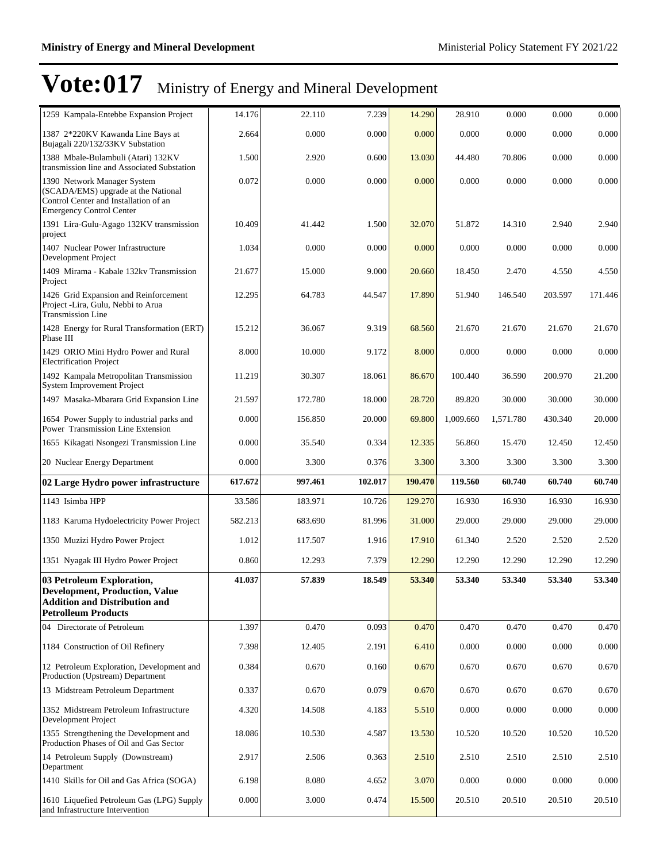| 1259 Kampala-Entebbe Expansion Project                                                                                                         | 14.176  | 22.110  | 7.239   | 14.290  | 28.910    | 0.000     | 0.000   | 0.000   |
|------------------------------------------------------------------------------------------------------------------------------------------------|---------|---------|---------|---------|-----------|-----------|---------|---------|
| 1387 2*220KV Kawanda Line Bays at<br>Bujagali 220/132/33KV Substation                                                                          | 2.664   | 0.000   | 0.000   | 0.000   | 0.000     | 0.000     | 0.000   | 0.000   |
| 1388 Mbale-Bulambuli (Atari) 132KV<br>transmission line and Associated Substation                                                              | 1.500   | 2.920   | 0.600   | 13.030  | 44.480    | 70.806    | 0.000   | 0.000   |
| 1390 Network Manager System<br>(SCADA/EMS) upgrade at the National<br>Control Center and Installation of an<br><b>Emergency Control Center</b> | 0.072   | 0.000   | 0.000   | 0.000   | 0.000     | 0.000     | 0.000   | 0.000   |
| 1391 Lira-Gulu-Agago 132KV transmission<br>project                                                                                             | 10.409  | 41.442  | 1.500   | 32.070  | 51.872    | 14.310    | 2.940   | 2.940   |
| 1407 Nuclear Power Infrastructure<br>Development Project                                                                                       | 1.034   | 0.000   | 0.000   | 0.000   | 0.000     | 0.000     | 0.000   | 0.000   |
| 1409 Mirama - Kabale 132kv Transmission<br>Project                                                                                             | 21.677  | 15.000  | 9.000   | 20.660  | 18.450    | 2.470     | 4.550   | 4.550   |
| 1426 Grid Expansion and Reinforcement<br>Project -Lira, Gulu, Nebbi to Arua<br><b>Transmission Line</b>                                        | 12.295  | 64.783  | 44.547  | 17.890  | 51.940    | 146.540   | 203.597 | 171.446 |
| 1428 Energy for Rural Transformation (ERT)<br>Phase III                                                                                        | 15.212  | 36.067  | 9.319   | 68.560  | 21.670    | 21.670    | 21.670  | 21.670  |
| 1429 ORIO Mini Hydro Power and Rural<br><b>Electrification Project</b>                                                                         | 8.000   | 10.000  | 9.172   | 8.000   | 0.000     | 0.000     | 0.000   | 0.000   |
| 1492 Kampala Metropolitan Transmission<br><b>System Improvement Project</b>                                                                    | 11.219  | 30.307  | 18.061  | 86.670  | 100.440   | 36.590    | 200.970 | 21.200  |
| 1497 Masaka-Mbarara Grid Expansion Line                                                                                                        | 21.597  | 172.780 | 18.000  | 28.720  | 89.820    | 30.000    | 30.000  | 30.000  |
| 1654 Power Supply to industrial parks and<br>Power Transmission Line Extension                                                                 | 0.000   | 156.850 | 20.000  | 69.800  | 1,009.660 | 1,571.780 | 430.340 | 20.000  |
| 1655 Kikagati Nsongezi Transmission Line                                                                                                       | 0.000   | 35.540  | 0.334   | 12.335  | 56.860    | 15.470    | 12.450  | 12.450  |
| 20 Nuclear Energy Department                                                                                                                   | 0.000   | 3.300   | 0.376   |         |           |           |         |         |
|                                                                                                                                                |         |         |         | 3.300   | 3.300     | 3.300     | 3.300   | 3.300   |
| 02 Large Hydro power infrastructure                                                                                                            | 617.672 | 997.461 | 102.017 | 190.470 | 119.560   | 60.740    | 60.740  | 60.740  |
| 1143 Isimba HPP                                                                                                                                | 33.586  | 183.971 | 10.726  | 129.270 | 16.930    | 16.930    | 16.930  | 16.930  |
| 1183 Karuma Hydoelectricity Power Project                                                                                                      | 582.213 | 683.690 | 81.996  | 31.000  | 29.000    | 29.000    | 29.000  | 29.000  |
| 1350 Muzizi Hydro Power Project                                                                                                                | 1.012   | 117.507 | 1.916   | 17.910  | 61.340    | 2.520     | 2.520   | 2.520   |
| 1351 Nyagak III Hydro Power Project                                                                                                            | 0.860   | 12.293  | 7.379   | 12.290  | 12.290    | 12.290    | 12.290  | 12.290  |
| 03 Petroleum Exploration,<br><b>Development, Production, Value</b><br><b>Addition and Distribution and</b><br><b>Petrolleum Products</b>       | 41.037  | 57.839  | 18.549  | 53.340  | 53.340    | 53.340    | 53.340  | 53.340  |
| 04 Directorate of Petroleum                                                                                                                    | 1.397   | 0.470   | 0.093   | 0.470   | 0.470     | 0.470     | 0.470   | 0.470   |
| 1184 Construction of Oil Refinery                                                                                                              | 7.398   | 12.405  | 2.191   | 6.410   | 0.000     | 0.000     | 0.000   | 0.000   |
| 12 Petroleum Exploration, Development and<br>Production (Upstream) Department                                                                  | 0.384   | 0.670   | 0.160   | 0.670   | 0.670     | 0.670     | 0.670   | 0.670   |
| 13 Midstream Petroleum Department                                                                                                              | 0.337   | 0.670   | 0.079   | 0.670   | 0.670     | 0.670     | 0.670   | 0.670   |
| 1352 Midstream Petroleum Infrastructure<br>Development Project                                                                                 | 4.320   | 14.508  | 4.183   | 5.510   | 0.000     | 0.000     | 0.000   | 0.000   |
| 1355 Strengthening the Development and<br>Production Phases of Oil and Gas Sector                                                              | 18.086  | 10.530  | 4.587   | 13.530  | 10.520    | 10.520    | 10.520  | 10.520  |
| 14 Petroleum Supply (Downstream)<br>Department                                                                                                 | 2.917   | 2.506   | 0.363   | 2.510   | 2.510     | 2.510     | 2.510   | 2.510   |
| 1410 Skills for Oil and Gas Africa (SOGA)                                                                                                      | 6.198   | 8.080   | 4.652   | 3.070   | 0.000     | 0.000     | 0.000   | 0.000   |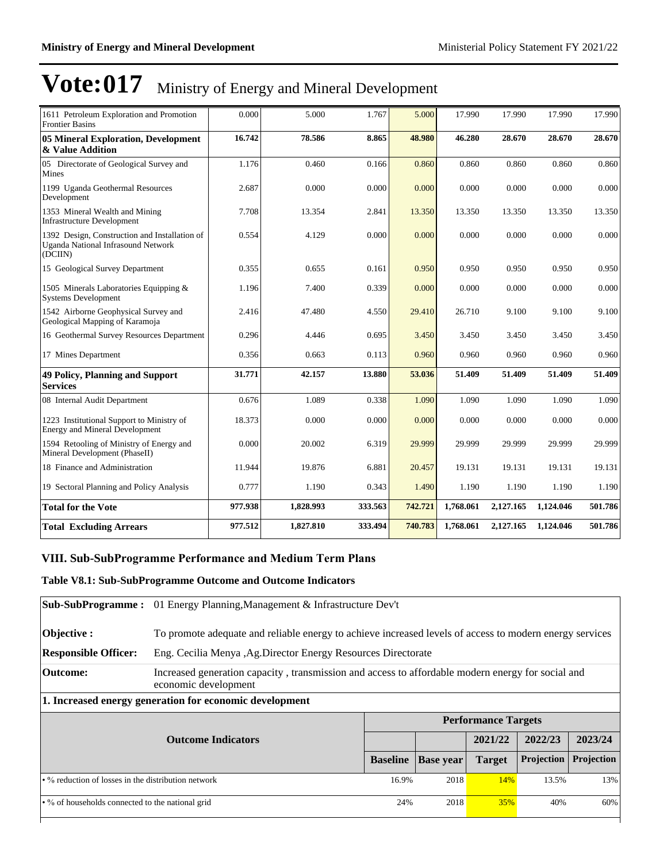| 1611 Petroleum Exploration and Promotion<br><b>Frontier Basins</b>                                    | 0.000   | 5.000     | 1.767   | 5.000   | 17.990    | 17.990    | 17.990    | 17.990  |
|-------------------------------------------------------------------------------------------------------|---------|-----------|---------|---------|-----------|-----------|-----------|---------|
| 05 Mineral Exploration, Development<br>& Value Addition                                               | 16.742  | 78.586    | 8.865   | 48.980  | 46.280    | 28.670    | 28.670    | 28.670  |
| 05 Directorate of Geological Survey and<br>Mines                                                      | 1.176   | 0.460     | 0.166   | 0.860   | 0.860     | 0.860     | 0.860     | 0.860   |
| 1199 Uganda Geothermal Resources<br>Development                                                       | 2.687   | 0.000     | 0.000   | 0.000   | 0.000     | 0.000     | 0.000     | 0.000   |
| 1353 Mineral Wealth and Mining<br><b>Infrastructure Development</b>                                   | 7.708   | 13.354    | 2.841   | 13.350  | 13.350    | 13.350    | 13.350    | 13.350  |
| 1392 Design, Construction and Installation of<br><b>Uganda National Infrasound Network</b><br>(DCIIN) | 0.554   | 4.129     | 0.000   | 0.000   | 0.000     | 0.000     | 0.000     | 0.000   |
| 15 Geological Survey Department                                                                       | 0.355   | 0.655     | 0.161   | 0.950   | 0.950     | 0.950     | 0.950     | 0.950   |
| 1505 Minerals Laboratories Equipping &<br><b>Systems Development</b>                                  | 1.196   | 7.400     | 0.339   | 0.000   | 0.000     | 0.000     | 0.000     | 0.000   |
| 1542 Airborne Geophysical Survey and<br>Geological Mapping of Karamoja                                | 2.416   | 47.480    | 4.550   | 29.410  | 26.710    | 9.100     | 9.100     | 9.100   |
| 16 Geothermal Survey Resources Department                                                             | 0.296   | 4.446     | 0.695   | 3.450   | 3.450     | 3.450     | 3.450     | 3.450   |
| 17 Mines Department                                                                                   | 0.356   | 0.663     | 0.113   | 0.960   | 0.960     | 0.960     | 0.960     | 0.960   |
| <b>49 Policy, Planning and Support</b><br><b>Services</b>                                             | 31.771  | 42.157    | 13.880  | 53.036  | 51.409    | 51.409    | 51.409    | 51.409  |
| 08 Internal Audit Department                                                                          | 0.676   | 1.089     | 0.338   | 1.090   | 1.090     | 1.090     | 1.090     | 1.090   |
| 1223 Institutional Support to Ministry of<br><b>Energy and Mineral Development</b>                    | 18.373  | 0.000     | 0.000   | 0.000   | 0.000     | 0.000     | 0.000     | 0.000   |
| 1594 Retooling of Ministry of Energy and<br>Mineral Development (PhaseII)                             | 0.000   | 20.002    | 6.319   | 29.999  | 29.999    | 29.999    | 29.999    | 29.999  |
| 18 Finance and Administration                                                                         | 11.944  | 19.876    | 6.881   | 20.457  | 19.131    | 19.131    | 19.131    | 19.131  |
| 19 Sectoral Planning and Policy Analysis                                                              | 0.777   | 1.190     | 0.343   | 1.490   | 1.190     | 1.190     | 1.190     | 1.190   |
| <b>Total for the Vote</b>                                                                             | 977.938 | 1,828.993 | 333.563 | 742.721 | 1,768.061 | 2,127.165 | 1,124.046 | 501.786 |
| <b>Total Excluding Arrears</b>                                                                        | 977.512 | 1,827.810 | 333.494 | 740.783 | 1,768.061 | 2,127.165 | 1,124.046 | 501.786 |

### **VIII. Sub-SubProgramme Performance and Medium Term Plans**

### **Table V8.1: Sub-SubProgramme Outcome and Outcome Indicators**

| <b>Sub-SubProgramme :</b>                                 | 01 Energy Planning, Management & Infrastructure Dev't                                                                     |                 |                  |                            |            |            |  |
|-----------------------------------------------------------|---------------------------------------------------------------------------------------------------------------------------|-----------------|------------------|----------------------------|------------|------------|--|
| Objective :                                               | To promote adequate and reliable energy to achieve increased levels of access to modern energy services                   |                 |                  |                            |            |            |  |
| <b>Responsible Officer:</b>                               | Eng. Cecilia Menya , Ag. Director Energy Resources Directorate                                                            |                 |                  |                            |            |            |  |
| <b>Outcome:</b>                                           | Increased generation capacity, transmission and access to affordable modern energy for social and<br>economic development |                 |                  |                            |            |            |  |
| 1. Increased energy generation for economic development   |                                                                                                                           |                 |                  |                            |            |            |  |
|                                                           |                                                                                                                           |                 |                  | <b>Performance Targets</b> |            |            |  |
|                                                           |                                                                                                                           |                 |                  |                            |            |            |  |
|                                                           | <b>Outcome Indicators</b>                                                                                                 |                 |                  | 2021/22                    | 2022/23    | 2023/24    |  |
|                                                           |                                                                                                                           | <b>Baseline</b> | <b>Base year</b> | <b>Target</b>              | Projection | Projection |  |
| $\cdot$ % reduction of losses in the distribution network |                                                                                                                           | 16.9%           | 2018             | 14%                        | 13.5%      |            |  |
| • % of households connected to the national grid          |                                                                                                                           | 24%             | 2018             | <b>35%</b>                 | 40%        | 13%<br>60% |  |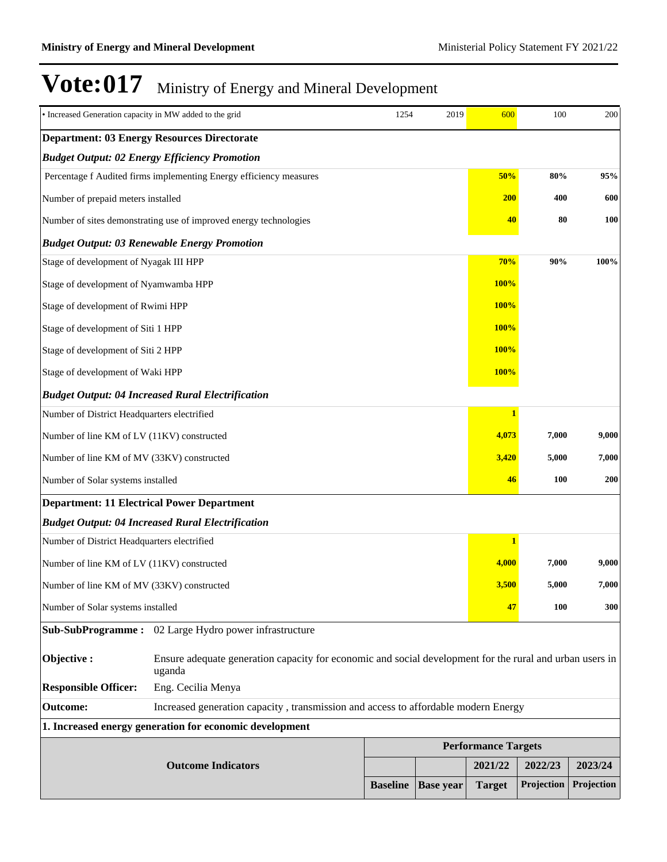| · Increased Generation capacity in MW added to the grid |                                                                                                                    | 1254            | 2019             | 600           | 100                        | 200        |  |  |
|---------------------------------------------------------|--------------------------------------------------------------------------------------------------------------------|-----------------|------------------|---------------|----------------------------|------------|--|--|
|                                                         | <b>Department: 03 Energy Resources Directorate</b>                                                                 |                 |                  |               |                            |            |  |  |
|                                                         | <b>Budget Output: 02 Energy Efficiency Promotion</b>                                                               |                 |                  |               |                            |            |  |  |
|                                                         | Percentage f Audited firms implementing Energy efficiency measures                                                 |                 |                  | 50%           | 80%                        | 95%        |  |  |
| Number of prepaid meters installed                      |                                                                                                                    |                 |                  | <b>200</b>    | 400                        | 600        |  |  |
|                                                         | Number of sites demonstrating use of improved energy technologies                                                  |                 |                  | 40            | 80                         | 100        |  |  |
|                                                         | <b>Budget Output: 03 Renewable Energy Promotion</b>                                                                |                 |                  |               |                            |            |  |  |
| Stage of development of Nyagak III HPP                  |                                                                                                                    |                 |                  | 70%           | 90%                        | 100%       |  |  |
| Stage of development of Nyamwamba HPP                   |                                                                                                                    |                 |                  | <b>100%</b>   |                            |            |  |  |
| Stage of development of Rwimi HPP                       |                                                                                                                    |                 |                  | <b>100%</b>   |                            |            |  |  |
| Stage of development of Siti 1 HPP                      |                                                                                                                    |                 |                  | <b>100%</b>   |                            |            |  |  |
| Stage of development of Siti 2 HPP                      |                                                                                                                    |                 |                  | <b>100%</b>   |                            |            |  |  |
| Stage of development of Waki HPP                        |                                                                                                                    |                 |                  | <b>100%</b>   |                            |            |  |  |
|                                                         | <b>Budget Output: 04 Increased Rural Electrification</b>                                                           |                 |                  |               |                            |            |  |  |
| Number of District Headquarters electrified             |                                                                                                                    |                 |                  |               |                            |            |  |  |
| Number of line KM of LV (11KV) constructed              |                                                                                                                    |                 |                  | 4,073         | 7,000                      | 9,000      |  |  |
| Number of line KM of MV (33KV) constructed              |                                                                                                                    |                 |                  | 3,420         | 5,000                      | 7,000      |  |  |
| Number of Solar systems installed                       |                                                                                                                    |                 |                  | 46            | <b>100</b>                 | 200        |  |  |
| <b>Department: 11 Electrical Power Department</b>       |                                                                                                                    |                 |                  |               |                            |            |  |  |
|                                                         | <b>Budget Output: 04 Increased Rural Electrification</b>                                                           |                 |                  |               |                            |            |  |  |
| Number of District Headquarters electrified             |                                                                                                                    |                 |                  | 1             |                            |            |  |  |
| Number of line KM of LV (11KV) constructed              |                                                                                                                    |                 |                  | 4,000         | 7,000                      | 9,000      |  |  |
| Number of line KM of MV (33KV) constructed              |                                                                                                                    |                 |                  | 3,500         | 5,000                      | 7,000      |  |  |
| Number of Solar systems installed                       |                                                                                                                    |                 |                  | 47            | <b>100</b>                 | 300        |  |  |
| <b>Sub-SubProgramme:</b>                                | 02 Large Hydro power infrastructure                                                                                |                 |                  |               |                            |            |  |  |
| Objective:                                              | Ensure adequate generation capacity for economic and social development for the rural and urban users in<br>uganda |                 |                  |               |                            |            |  |  |
| <b>Responsible Officer:</b>                             | Eng. Cecilia Menya                                                                                                 |                 |                  |               |                            |            |  |  |
| <b>Outcome:</b>                                         | Increased generation capacity, transmission and access to affordable modern Energy                                 |                 |                  |               |                            |            |  |  |
|                                                         | 1. Increased energy generation for economic development                                                            |                 |                  |               |                            |            |  |  |
|                                                         |                                                                                                                    |                 |                  |               | <b>Performance Targets</b> |            |  |  |
|                                                         | <b>Outcome Indicators</b>                                                                                          |                 |                  | 2021/22       | 2022/23                    | 2023/24    |  |  |
|                                                         |                                                                                                                    | <b>Baseline</b> | <b>Base year</b> | <b>Target</b> | Projection                 | Projection |  |  |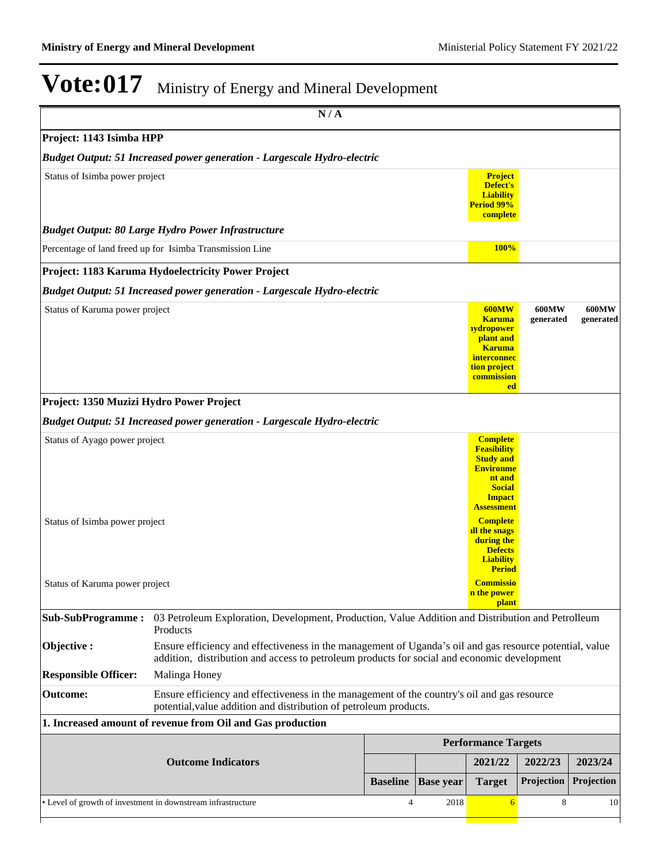|                                                                 | N/A                                                                                                                                                                                                    |                 |                  |                                                                                                                                     |                                                        |                           |
|-----------------------------------------------------------------|--------------------------------------------------------------------------------------------------------------------------------------------------------------------------------------------------------|-----------------|------------------|-------------------------------------------------------------------------------------------------------------------------------------|--------------------------------------------------------|---------------------------|
| Project: 1143 Isimba HPP                                        |                                                                                                                                                                                                        |                 |                  |                                                                                                                                     |                                                        |                           |
|                                                                 | <b>Budget Output: 51 Increased power generation - Largescale Hydro-electric</b>                                                                                                                        |                 |                  |                                                                                                                                     |                                                        |                           |
| Status of Isimba power project                                  |                                                                                                                                                                                                        |                 |                  | <b>Project</b><br>Defect's<br><b>Liability</b><br>Period 99%<br>complete                                                            |                                                        |                           |
|                                                                 | <b>Budget Output: 80 Large Hydro Power Infrastructure</b>                                                                                                                                              |                 |                  |                                                                                                                                     |                                                        |                           |
|                                                                 | Percentage of land freed up for Isimba Transmission Line                                                                                                                                               |                 |                  | <b>100%</b>                                                                                                                         |                                                        |                           |
|                                                                 | Project: 1183 Karuma Hydoelectricity Power Project                                                                                                                                                     |                 |                  |                                                                                                                                     |                                                        |                           |
|                                                                 | <b>Budget Output: 51 Increased power generation - Largescale Hydro-electric</b>                                                                                                                        |                 |                  |                                                                                                                                     |                                                        |                           |
| Status of Karuma power project                                  |                                                                                                                                                                                                        |                 |                  | <b>600MW</b><br><b>Karuma</b><br><b>nydropower</b><br>plant and<br><b>Karuma</b><br>interconnec<br>tion project<br>commission<br>ed | <b>600MW</b><br>generated                              | <b>600MW</b><br>generated |
| Project: 1350 Muzizi Hydro Power Project                        |                                                                                                                                                                                                        |                 |                  |                                                                                                                                     |                                                        |                           |
|                                                                 | <b>Budget Output: 51 Increased power generation - Largescale Hydro-electric</b>                                                                                                                        |                 |                  |                                                                                                                                     |                                                        |                           |
| Status of Ayago power project<br>Status of Isimba power project |                                                                                                                                                                                                        |                 |                  |                                                                                                                                     | <b>Environme</b><br><b>Assessment</b><br><b>Period</b> |                           |
| Status of Karuma power project                                  |                                                                                                                                                                                                        |                 |                  | <b>Commissio</b><br>n the power<br><b>plant</b>                                                                                     |                                                        |                           |
| <b>Sub-SubProgramme:</b>                                        | 03 Petroleum Exploration, Development, Production, Value Addition and Distribution and Petrolleum<br>Products                                                                                          |                 |                  |                                                                                                                                     |                                                        |                           |
| Objective:                                                      | Ensure efficiency and effectiveness in the management of Uganda's oil and gas resource potential, value<br>addition, distribution and access to petroleum products for social and economic development |                 |                  |                                                                                                                                     |                                                        |                           |
| <b>Responsible Officer:</b>                                     | Malinga Honey                                                                                                                                                                                          |                 |                  |                                                                                                                                     |                                                        |                           |
| <b>Outcome:</b>                                                 | Ensure efficiency and effectiveness in the management of the country's oil and gas resource<br>potential, value addition and distribution of petroleum products.                                       |                 |                  |                                                                                                                                     |                                                        |                           |
|                                                                 | 1. Increased amount of revenue from Oil and Gas production                                                                                                                                             |                 |                  |                                                                                                                                     |                                                        |                           |
|                                                                 |                                                                                                                                                                                                        |                 |                  | <b>Performance Targets</b>                                                                                                          |                                                        |                           |
|                                                                 | <b>Outcome Indicators</b>                                                                                                                                                                              |                 |                  | 2021/22                                                                                                                             | 2022/23                                                | 2023/24                   |
|                                                                 |                                                                                                                                                                                                        | <b>Baseline</b> | <b>Base year</b> | <b>Target</b>                                                                                                                       | Projection                                             | Projection                |
|                                                                 | • Level of growth of investment in downstream infrastructure                                                                                                                                           | $\overline{4}$  | 2018             | 6                                                                                                                                   | 8                                                      | 10                        |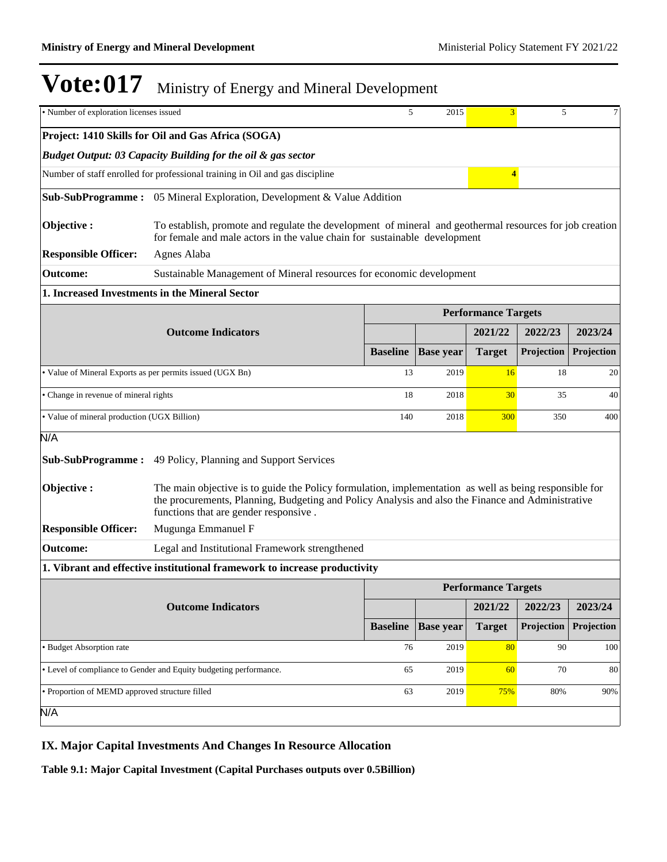| • Number of exploration licenses issued                   |                                                                                                                                                                                                                                                      | 5               | 2015             | $\overline{3}$             | 5          | 7          |  |
|-----------------------------------------------------------|------------------------------------------------------------------------------------------------------------------------------------------------------------------------------------------------------------------------------------------------------|-----------------|------------------|----------------------------|------------|------------|--|
|                                                           | Project: 1410 Skills for Oil and Gas Africa (SOGA)                                                                                                                                                                                                   |                 |                  |                            |            |            |  |
|                                                           | Budget Output: 03 Capacity Building for the oil & gas sector                                                                                                                                                                                         |                 |                  |                            |            |            |  |
|                                                           | Number of staff enrolled for professional training in Oil and gas discipline                                                                                                                                                                         |                 |                  | $\overline{4}$             |            |            |  |
|                                                           | <b>Sub-SubProgramme:</b> 05 Mineral Exploration, Development & Value Addition                                                                                                                                                                        |                 |                  |                            |            |            |  |
| Objective:                                                | To establish, promote and regulate the development of mineral and geothermal resources for job creation<br>for female and male actors in the value chain for sustainable development                                                                 |                 |                  |                            |            |            |  |
| <b>Responsible Officer:</b>                               | Agnes Alaba                                                                                                                                                                                                                                          |                 |                  |                            |            |            |  |
| Outcome:                                                  | Sustainable Management of Mineral resources for economic development                                                                                                                                                                                 |                 |                  |                            |            |            |  |
|                                                           | 1. Increased Investments in the Mineral Sector                                                                                                                                                                                                       |                 |                  |                            |            |            |  |
|                                                           |                                                                                                                                                                                                                                                      |                 |                  | <b>Performance Targets</b> |            |            |  |
|                                                           | <b>Outcome Indicators</b>                                                                                                                                                                                                                            |                 |                  | 2021/22                    | 2022/23    | 2023/24    |  |
|                                                           |                                                                                                                                                                                                                                                      | <b>Baseline</b> | <b>Base</b> year | <b>Target</b>              | Projection | Projection |  |
| · Value of Mineral Exports as per permits issued (UGX Bn) |                                                                                                                                                                                                                                                      | 13              | 2019             | 16                         | 18         | 20         |  |
| • Change in revenue of mineral rights                     |                                                                                                                                                                                                                                                      | 18              | 2018             | 30                         | 35         | 40         |  |
| · Value of mineral production (UGX Billion)               |                                                                                                                                                                                                                                                      | 140             | 2018             | 300                        | 350        | 400        |  |
| N/A                                                       |                                                                                                                                                                                                                                                      |                 |                  |                            |            |            |  |
| <b>Sub-SubProgramme:</b>                                  | 49 Policy, Planning and Support Services                                                                                                                                                                                                             |                 |                  |                            |            |            |  |
| Objective:                                                | The main objective is to guide the Policy formulation, implementation as well as being responsible for<br>the procurements, Planning, Budgeting and Policy Analysis and also the Finance and Administrative<br>functions that are gender responsive. |                 |                  |                            |            |            |  |
| <b>Responsible Officer:</b>                               | Mugunga Emmanuel F                                                                                                                                                                                                                                   |                 |                  |                            |            |            |  |
| Outcome:                                                  | Legal and Institutional Framework strengthened                                                                                                                                                                                                       |                 |                  |                            |            |            |  |
|                                                           | 1. Vibrant and effective institutional framework to increase productivity                                                                                                                                                                            |                 |                  |                            |            |            |  |
|                                                           |                                                                                                                                                                                                                                                      |                 |                  | <b>Performance Targets</b> |            |            |  |
|                                                           | <b>Outcome Indicators</b>                                                                                                                                                                                                                            |                 |                  | 2021/22                    | 2022/23    | 2023/24    |  |
|                                                           |                                                                                                                                                                                                                                                      | <b>Baseline</b> | <b>Base year</b> | <b>Target</b>              | Projection | Projection |  |
| · Budget Absorption rate                                  |                                                                                                                                                                                                                                                      | 76              | 2019             | 80                         | 90         | 100        |  |
|                                                           | • Level of compliance to Gender and Equity budgeting performance.                                                                                                                                                                                    | 65              | 2019             | 60                         | 70         | 80         |  |
| • Proportion of MEMD approved structure filled            |                                                                                                                                                                                                                                                      | 63<br>2019      |                  | 75%                        | 80%        | 90%        |  |
| N/A                                                       |                                                                                                                                                                                                                                                      |                 |                  |                            |            |            |  |
|                                                           |                                                                                                                                                                                                                                                      |                 |                  |                            |            |            |  |

### **IX. Major Capital Investments And Changes In Resource Allocation**

**Table 9.1: Major Capital Investment (Capital Purchases outputs over 0.5Billion)**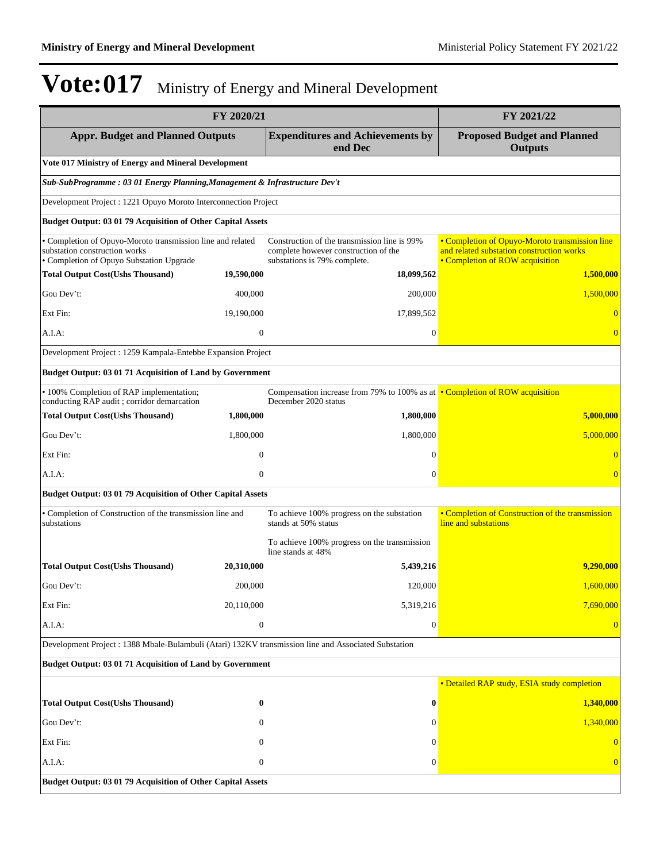|                                                                                                                                         | FY 2020/21       |                                                                                                                      | FY 2021/22                                                                                                                     |
|-----------------------------------------------------------------------------------------------------------------------------------------|------------------|----------------------------------------------------------------------------------------------------------------------|--------------------------------------------------------------------------------------------------------------------------------|
| <b>Appr. Budget and Planned Outputs</b>                                                                                                 |                  | <b>Expenditures and Achievements by</b><br>end Dec                                                                   | <b>Proposed Budget and Planned</b><br><b>Outputs</b>                                                                           |
| Vote 017 Ministry of Energy and Mineral Development                                                                                     |                  |                                                                                                                      |                                                                                                                                |
| Sub-SubProgramme: 03 01 Energy Planning, Management & Infrastructure Dev't                                                              |                  |                                                                                                                      |                                                                                                                                |
| Development Project : 1221 Opuyo Moroto Interconnection Project                                                                         |                  |                                                                                                                      |                                                                                                                                |
| Budget Output: 03 01 79 Acquisition of Other Capital Assets                                                                             |                  |                                                                                                                      |                                                                                                                                |
| • Completion of Opuyo-Moroto transmission line and related<br>substation construction works<br>· Completion of Opuyo Substation Upgrade |                  | Construction of the transmission line is 99%<br>complete however construction of the<br>substations is 79% complete. | • Completion of Opuyo-Moroto transmission line<br>and related substation construction works<br>• Completion of ROW acquisition |
| <b>Total Output Cost(Ushs Thousand)</b>                                                                                                 | 19,590,000       | 18,099,562                                                                                                           | 1,500,000                                                                                                                      |
| Gou Dev't:                                                                                                                              | 400,000          | 200,000                                                                                                              | 1,500,000                                                                                                                      |
| Ext Fin:                                                                                                                                | 19,190,000       | 17,899,562                                                                                                           |                                                                                                                                |
| A.I.A:                                                                                                                                  | $\mathbf{0}$     | $\boldsymbol{0}$                                                                                                     | $\overline{0}$                                                                                                                 |
| Development Project : 1259 Kampala-Entebbe Expansion Project                                                                            |                  |                                                                                                                      |                                                                                                                                |
| Budget Output: 03 01 71 Acquisition of Land by Government                                                                               |                  |                                                                                                                      |                                                                                                                                |
| • 100% Completion of RAP implementation;<br>conducting RAP audit ; corridor demarcation                                                 |                  | Compensation increase from 79% to 100% as at • Completion of ROW acquisition<br>December 2020 status                 |                                                                                                                                |
| <b>Total Output Cost(Ushs Thousand)</b>                                                                                                 | 1,800,000        | 1,800,000                                                                                                            | 5,000,000                                                                                                                      |
| Gou Dev't:                                                                                                                              | 1,800,000        | 1,800,000                                                                                                            | 5,000,000                                                                                                                      |
| Ext Fin:                                                                                                                                | $\theta$         | $\Omega$                                                                                                             |                                                                                                                                |
| A.I.A:                                                                                                                                  | $\overline{0}$   | $\overline{0}$                                                                                                       |                                                                                                                                |
| Budget Output: 03 01 79 Acquisition of Other Capital Assets                                                                             |                  |                                                                                                                      |                                                                                                                                |
| · Completion of Construction of the transmission line and<br>substations                                                                |                  | To achieve 100% progress on the substation<br>stands at 50% status                                                   | • Completion of Construction of the transmission<br>line and substations                                                       |
|                                                                                                                                         |                  | To achieve 100% progress on the transmission<br>line stands at 48%                                                   |                                                                                                                                |
| <b>Total Output Cost(Ushs Thousand)</b>                                                                                                 | 20,310,000       | 5,439,216                                                                                                            | 9,290,000                                                                                                                      |
| Gou Dev't:                                                                                                                              | 200,000          | 120,000                                                                                                              | 1,600,000                                                                                                                      |
| Ext Fin:                                                                                                                                | 20,110,000       | 5,319,216                                                                                                            | 7,690,000                                                                                                                      |
| A.I.A:                                                                                                                                  | $\boldsymbol{0}$ | $\boldsymbol{0}$                                                                                                     |                                                                                                                                |
| Development Project : 1388 Mbale-Bulambuli (Atari) 132KV transmission line and Associated Substation                                    |                  |                                                                                                                      |                                                                                                                                |
| Budget Output: 03 01 71 Acquisition of Land by Government                                                                               |                  |                                                                                                                      |                                                                                                                                |
|                                                                                                                                         |                  |                                                                                                                      | • Detailed RAP study, ESIA study completion                                                                                    |
| <b>Total Output Cost(Ushs Thousand)</b>                                                                                                 | $\bf{0}$         | $\bf{0}$                                                                                                             | 1,340,000                                                                                                                      |
| Gou Dev't:                                                                                                                              | $\Omega$         | $\Omega$                                                                                                             | 1,340,000                                                                                                                      |
| Ext Fin:                                                                                                                                | 0                | $\mathbf{0}$                                                                                                         | $\overline{0}$                                                                                                                 |
| A.I.A:                                                                                                                                  | $\mathbf{0}$     | $\mathbf{0}$                                                                                                         | $\vert 0 \vert$                                                                                                                |
| Budget Output: 03 01 79 Acquisition of Other Capital Assets                                                                             |                  |                                                                                                                      |                                                                                                                                |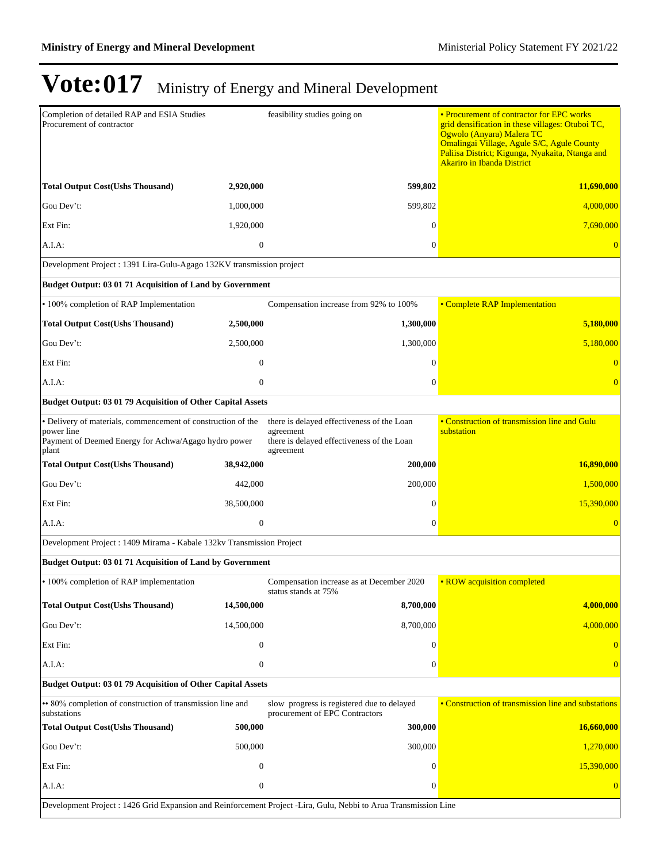| Completion of detailed RAP and ESIA Studies<br>Procurement of contractor                                                                    |                  | feasibility studies going on                                                                                       | • Procurement of contractor for EPC works<br>grid densification in these villages: Otuboi TC,<br>Ogwolo (Anyara) Malera TC<br>Omalingai Village, Agule S/C, Agule County<br>Paliisa District; Kigunga, Nyakaita, Ntanga and<br><b>Akariro in Ibanda District</b> |  |  |
|---------------------------------------------------------------------------------------------------------------------------------------------|------------------|--------------------------------------------------------------------------------------------------------------------|------------------------------------------------------------------------------------------------------------------------------------------------------------------------------------------------------------------------------------------------------------------|--|--|
| <b>Total Output Cost(Ushs Thousand)</b>                                                                                                     | 2,920,000        | 599,802                                                                                                            | 11,690,000                                                                                                                                                                                                                                                       |  |  |
| Gou Dev't:                                                                                                                                  | 1,000,000        | 599,802                                                                                                            | 4,000,000                                                                                                                                                                                                                                                        |  |  |
| Ext Fin:                                                                                                                                    | 1,920,000        | 0                                                                                                                  | 7,690,000                                                                                                                                                                                                                                                        |  |  |
| A.I.A.                                                                                                                                      | $\boldsymbol{0}$ | $\overline{0}$                                                                                                     | $\overline{0}$                                                                                                                                                                                                                                                   |  |  |
| Development Project : 1391 Lira-Gulu-Agago 132KV transmission project                                                                       |                  |                                                                                                                    |                                                                                                                                                                                                                                                                  |  |  |
| Budget Output: 03 01 71 Acquisition of Land by Government                                                                                   |                  |                                                                                                                    |                                                                                                                                                                                                                                                                  |  |  |
| • 100% completion of RAP Implementation                                                                                                     |                  | Compensation increase from 92% to 100%                                                                             | • Complete RAP Implementation                                                                                                                                                                                                                                    |  |  |
| <b>Total Output Cost(Ushs Thousand)</b>                                                                                                     | 2,500,000        | 1,300,000                                                                                                          | 5,180,000                                                                                                                                                                                                                                                        |  |  |
| Gou Dev't:                                                                                                                                  | 2,500,000        | 1,300,000                                                                                                          | 5,180,000                                                                                                                                                                                                                                                        |  |  |
| Ext Fin:                                                                                                                                    | $\overline{0}$   | $\Omega$                                                                                                           |                                                                                                                                                                                                                                                                  |  |  |
| $A.I.A$ :                                                                                                                                   | $\mathbf{0}$     | $\overline{0}$                                                                                                     | $\overline{0}$                                                                                                                                                                                                                                                   |  |  |
| Budget Output: 03 01 79 Acquisition of Other Capital Assets                                                                                 |                  |                                                                                                                    |                                                                                                                                                                                                                                                                  |  |  |
| • Delivery of materials, commencement of construction of the<br>power line<br>Payment of Deemed Energy for Achwa/Agago hydro power<br>plant |                  | there is delayed effectiveness of the Loan<br>agreement<br>there is delayed effectiveness of the Loan<br>agreement | • Construction of transmission line and Gulu<br>substation                                                                                                                                                                                                       |  |  |
| <b>Total Output Cost(Ushs Thousand)</b>                                                                                                     | 38,942,000       | 200,000                                                                                                            | 16,890,000                                                                                                                                                                                                                                                       |  |  |
| Gou Dev't:                                                                                                                                  | 442,000          | 200,000                                                                                                            | 1,500,000                                                                                                                                                                                                                                                        |  |  |
| Ext Fin:                                                                                                                                    | 38,500,000       | $\Omega$                                                                                                           | 15,390,000                                                                                                                                                                                                                                                       |  |  |
| A.I.A:                                                                                                                                      | $\boldsymbol{0}$ | $\mathbf{0}$                                                                                                       |                                                                                                                                                                                                                                                                  |  |  |
| Development Project : 1409 Mirama - Kabale 132kv Transmission Project                                                                       |                  |                                                                                                                    |                                                                                                                                                                                                                                                                  |  |  |
| Budget Output: 03 01 71 Acquisition of Land by Government                                                                                   |                  |                                                                                                                    |                                                                                                                                                                                                                                                                  |  |  |
| • 100% completion of RAP implementation                                                                                                     |                  | Compensation increase as at December 2020<br>status stands at 75%                                                  | • ROW acquisition completed                                                                                                                                                                                                                                      |  |  |
| <b>Total Output Cost(Ushs Thousand)</b>                                                                                                     | 14,500,000       | 8,700,000                                                                                                          | 4,000,000                                                                                                                                                                                                                                                        |  |  |
| Gou Dev't:                                                                                                                                  | 14,500,000       | 8,700,000                                                                                                          | 4,000,000                                                                                                                                                                                                                                                        |  |  |
| Ext Fin:                                                                                                                                    | $\boldsymbol{0}$ | $\theta$                                                                                                           |                                                                                                                                                                                                                                                                  |  |  |
| A.I.A:                                                                                                                                      | $\boldsymbol{0}$ | $\mathbf{0}$                                                                                                       |                                                                                                                                                                                                                                                                  |  |  |
| Budget Output: 03 01 79 Acquisition of Other Capital Assets                                                                                 |                  |                                                                                                                    |                                                                                                                                                                                                                                                                  |  |  |
| • 80% completion of construction of transmission line and<br>substations                                                                    |                  | slow progress is registered due to delayed<br>procurement of EPC Contractors                                       | • Construction of transmission line and substations                                                                                                                                                                                                              |  |  |
| <b>Total Output Cost(Ushs Thousand)</b>                                                                                                     | 500,000          | 300,000                                                                                                            | 16,660,000                                                                                                                                                                                                                                                       |  |  |
| Gou Dev't:                                                                                                                                  | 500,000          | 300,000                                                                                                            | 1,270,000                                                                                                                                                                                                                                                        |  |  |
| Ext Fin:                                                                                                                                    | $\mathbf{0}$     | $\Omega$                                                                                                           | 15,390,000                                                                                                                                                                                                                                                       |  |  |
| A.I.A.                                                                                                                                      | $\mathbf{0}$     | $\Omega$                                                                                                           |                                                                                                                                                                                                                                                                  |  |  |
| Development Project : 1426 Grid Expansion and Reinforcement Project -Lira, Gulu, Nebbi to Arua Transmission Line                            |                  |                                                                                                                    |                                                                                                                                                                                                                                                                  |  |  |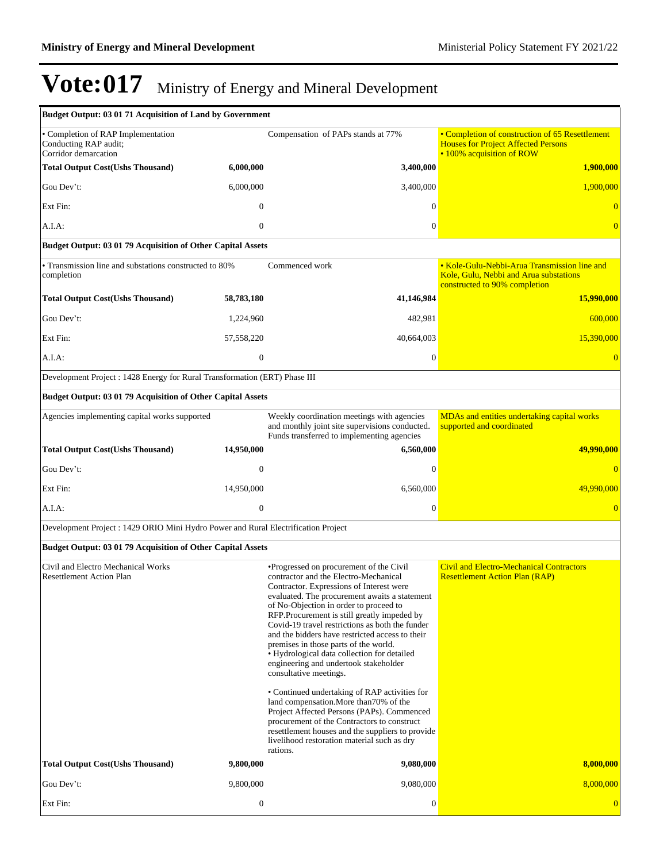| Budget Output: 03 01 71 Acquisition of Land by Government                           |                  |                                                                                                                                                                                                                                                                                                                                                                                                                                                                                                                                                                                                                                                                                   |                                                                                                                            |
|-------------------------------------------------------------------------------------|------------------|-----------------------------------------------------------------------------------------------------------------------------------------------------------------------------------------------------------------------------------------------------------------------------------------------------------------------------------------------------------------------------------------------------------------------------------------------------------------------------------------------------------------------------------------------------------------------------------------------------------------------------------------------------------------------------------|----------------------------------------------------------------------------------------------------------------------------|
| • Completion of RAP Implementation<br>Conducting RAP audit;<br>Corridor demarcation |                  | Compensation of PAPs stands at 77%                                                                                                                                                                                                                                                                                                                                                                                                                                                                                                                                                                                                                                                | • Completion of construction of 65 Resettlement<br><b>Houses for Project Affected Persons</b><br>• 100% acquisition of ROW |
| <b>Total Output Cost(Ushs Thousand)</b>                                             | 6,000,000        | 3,400,000                                                                                                                                                                                                                                                                                                                                                                                                                                                                                                                                                                                                                                                                         | 1,900,000                                                                                                                  |
| Gou Dev't:                                                                          | 6,000,000        | 3,400,000                                                                                                                                                                                                                                                                                                                                                                                                                                                                                                                                                                                                                                                                         | 1,900,000                                                                                                                  |
| Ext Fin:                                                                            | $\mathbf{0}$     | $\mathbf{0}$                                                                                                                                                                                                                                                                                                                                                                                                                                                                                                                                                                                                                                                                      |                                                                                                                            |
| A.I.A:                                                                              | $\mathbf{0}$     | 0                                                                                                                                                                                                                                                                                                                                                                                                                                                                                                                                                                                                                                                                                 |                                                                                                                            |
| Budget Output: 03 01 79 Acquisition of Other Capital Assets                         |                  |                                                                                                                                                                                                                                                                                                                                                                                                                                                                                                                                                                                                                                                                                   |                                                                                                                            |
| • Transmission line and substations constructed to 80%<br>completion                |                  | Commenced work                                                                                                                                                                                                                                                                                                                                                                                                                                                                                                                                                                                                                                                                    | • Kole-Gulu-Nebbi-Arua Transmission line and<br>Kole, Gulu, Nebbi and Arua substations<br>constructed to 90% completion    |
| <b>Total Output Cost(Ushs Thousand)</b>                                             | 58,783,180       | 41,146,984                                                                                                                                                                                                                                                                                                                                                                                                                                                                                                                                                                                                                                                                        | <b>15,990,000</b>                                                                                                          |
| Gou Dev't:                                                                          | 1,224,960        | 482,981                                                                                                                                                                                                                                                                                                                                                                                                                                                                                                                                                                                                                                                                           | 600,000                                                                                                                    |
| Ext Fin:                                                                            | 57,558,220       | 40,664,003                                                                                                                                                                                                                                                                                                                                                                                                                                                                                                                                                                                                                                                                        | 15,390,000                                                                                                                 |
| A.I.A:                                                                              | $\mathbf{0}$     | $\boldsymbol{0}$                                                                                                                                                                                                                                                                                                                                                                                                                                                                                                                                                                                                                                                                  |                                                                                                                            |
| Development Project : 1428 Energy for Rural Transformation (ERT) Phase III          |                  |                                                                                                                                                                                                                                                                                                                                                                                                                                                                                                                                                                                                                                                                                   |                                                                                                                            |
| Budget Output: 03 01 79 Acquisition of Other Capital Assets                         |                  |                                                                                                                                                                                                                                                                                                                                                                                                                                                                                                                                                                                                                                                                                   |                                                                                                                            |
| Agencies implementing capital works supported                                       |                  | Weekly coordination meetings with agencies<br>and monthly joint site supervisions conducted.<br>Funds transferred to implementing agencies                                                                                                                                                                                                                                                                                                                                                                                                                                                                                                                                        | MDAs and entities undertaking capital works<br>supported and coordinated                                                   |
| <b>Total Output Cost(Ushs Thousand)</b>                                             | 14,950,000       | 6,560,000                                                                                                                                                                                                                                                                                                                                                                                                                                                                                                                                                                                                                                                                         | 49,990,000                                                                                                                 |
| Gou Dev't:                                                                          | $\overline{0}$   | $\Omega$                                                                                                                                                                                                                                                                                                                                                                                                                                                                                                                                                                                                                                                                          |                                                                                                                            |
| Ext Fin:                                                                            | 14,950,000       | 6,560,000                                                                                                                                                                                                                                                                                                                                                                                                                                                                                                                                                                                                                                                                         | 49,990,000                                                                                                                 |
| A.I.A:                                                                              | $\boldsymbol{0}$ | $\mathbf{0}$                                                                                                                                                                                                                                                                                                                                                                                                                                                                                                                                                                                                                                                                      |                                                                                                                            |
| Development Project : 1429 ORIO Mini Hydro Power and Rural Electrification Project  |                  |                                                                                                                                                                                                                                                                                                                                                                                                                                                                                                                                                                                                                                                                                   |                                                                                                                            |
| Budget Output: 03 01 79 Acquisition of Other Capital Assets                         |                  |                                                                                                                                                                                                                                                                                                                                                                                                                                                                                                                                                                                                                                                                                   |                                                                                                                            |
| Civil and Electro Mechanical Works<br><b>Resettlement Action Plan</b>               |                  | •Progressed on procurement of the Civil<br>contractor and the Electro-Mechanical<br>Contractor. Expressions of Interest were<br>evaluated. The procurement awaits a statement<br>of No-Objection in order to proceed to<br>RFP.Procurement is still greatly impeded by<br>Covid-19 travel restrictions as both the funder<br>and the bidders have restricted access to their<br>premises in those parts of the world.<br>• Hydrological data collection for detailed<br>engineering and undertook stakeholder<br>consultative meetings.<br>• Continued undertaking of RAP activities for<br>land compensation. More than 70% of the<br>Project Affected Persons (PAPs). Commenced | <b>Civil and Electro-Mechanical Contractors</b><br><b>Resettlement Action Plan (RAP)</b>                                   |
| <b>Total Output Cost(Ushs Thousand)</b>                                             | 9,800,000        | procurement of the Contractors to construct<br>resettlement houses and the suppliers to provide<br>livelihood restoration material such as dry<br>rations.<br>9,080,000                                                                                                                                                                                                                                                                                                                                                                                                                                                                                                           | 8,000,000                                                                                                                  |
|                                                                                     |                  |                                                                                                                                                                                                                                                                                                                                                                                                                                                                                                                                                                                                                                                                                   |                                                                                                                            |
| Gou Dev't:                                                                          | 9,800,000        | 9,080,000                                                                                                                                                                                                                                                                                                                                                                                                                                                                                                                                                                                                                                                                         | 8,000,000                                                                                                                  |
| Ext Fin:                                                                            | $\boldsymbol{0}$ | $\mathbf{0}$                                                                                                                                                                                                                                                                                                                                                                                                                                                                                                                                                                                                                                                                      |                                                                                                                            |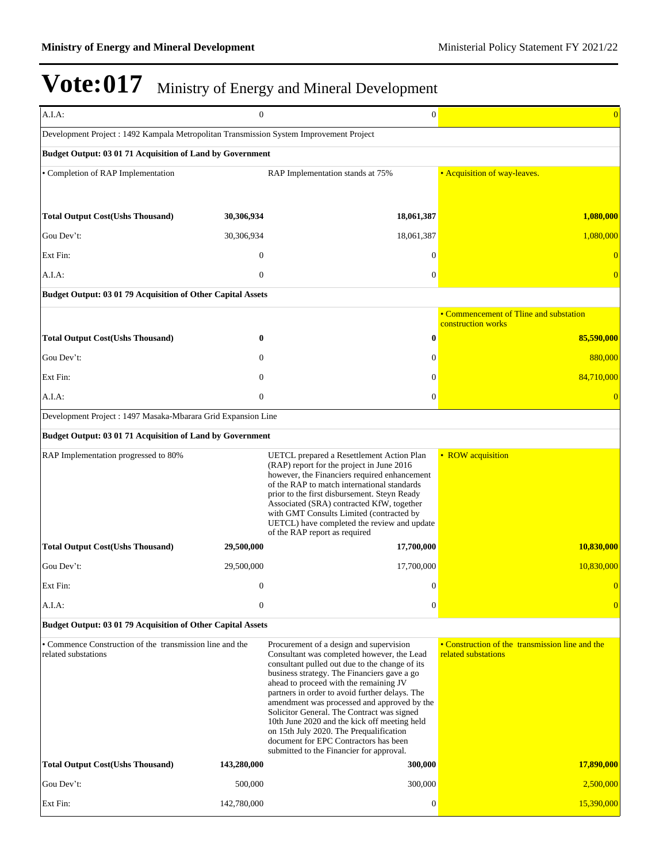| A.I.A:                                                                                  | $\overline{0}$   | $\overline{0}$                                                                                                                                                                                                                                                                                                                                                                                                                                                                                                                                                  | $\overline{0}$                                                         |
|-----------------------------------------------------------------------------------------|------------------|-----------------------------------------------------------------------------------------------------------------------------------------------------------------------------------------------------------------------------------------------------------------------------------------------------------------------------------------------------------------------------------------------------------------------------------------------------------------------------------------------------------------------------------------------------------------|------------------------------------------------------------------------|
| Development Project : 1492 Kampala Metropolitan Transmission System Improvement Project |                  |                                                                                                                                                                                                                                                                                                                                                                                                                                                                                                                                                                 |                                                                        |
| Budget Output: 03 01 71 Acquisition of Land by Government                               |                  |                                                                                                                                                                                                                                                                                                                                                                                                                                                                                                                                                                 |                                                                        |
| • Completion of RAP Implementation                                                      |                  | RAP Implementation stands at 75%                                                                                                                                                                                                                                                                                                                                                                                                                                                                                                                                | • Acquisition of way-leaves.                                           |
|                                                                                         |                  |                                                                                                                                                                                                                                                                                                                                                                                                                                                                                                                                                                 |                                                                        |
| <b>Total Output Cost(Ushs Thousand)</b>                                                 | 30,306,934       | 18,061,387                                                                                                                                                                                                                                                                                                                                                                                                                                                                                                                                                      | 1,080,000                                                              |
| Gou Dev't:                                                                              | 30,306,934       | 18,061,387                                                                                                                                                                                                                                                                                                                                                                                                                                                                                                                                                      | 1,080,000                                                              |
| Ext Fin:                                                                                | $\mathbf{0}$     | $\mathbf{0}$                                                                                                                                                                                                                                                                                                                                                                                                                                                                                                                                                    |                                                                        |
| A.I.A:                                                                                  | $\mathbf{0}$     | $\overline{0}$                                                                                                                                                                                                                                                                                                                                                                                                                                                                                                                                                  |                                                                        |
| Budget Output: 03 01 79 Acquisition of Other Capital Assets                             |                  |                                                                                                                                                                                                                                                                                                                                                                                                                                                                                                                                                                 |                                                                        |
|                                                                                         |                  |                                                                                                                                                                                                                                                                                                                                                                                                                                                                                                                                                                 | • Commencement of Tline and substation<br>construction works           |
| <b>Total Output Cost(Ushs Thousand)</b>                                                 | 0                | $\bf{0}$                                                                                                                                                                                                                                                                                                                                                                                                                                                                                                                                                        | 85,590,000                                                             |
| Gou Dev't:                                                                              | $\mathbf{0}$     | $\overline{0}$                                                                                                                                                                                                                                                                                                                                                                                                                                                                                                                                                  | 880,000                                                                |
| Ext Fin:                                                                                | $\mathbf{0}$     | $\theta$                                                                                                                                                                                                                                                                                                                                                                                                                                                                                                                                                        | 84,710,000                                                             |
| $A.I.A$ :                                                                               | $\boldsymbol{0}$ | $\boldsymbol{0}$                                                                                                                                                                                                                                                                                                                                                                                                                                                                                                                                                |                                                                        |
| Development Project : 1497 Masaka-Mbarara Grid Expansion Line                           |                  |                                                                                                                                                                                                                                                                                                                                                                                                                                                                                                                                                                 |                                                                        |
| Budget Output: 03 01 71 Acquisition of Land by Government                               |                  |                                                                                                                                                                                                                                                                                                                                                                                                                                                                                                                                                                 |                                                                        |
| RAP Implementation progressed to 80%                                                    |                  | UETCL prepared a Resettlement Action Plan<br>(RAP) report for the project in June 2016<br>however, the Financiers required enhancement<br>of the RAP to match international standards<br>prior to the first disbursement. Steyn Ready<br>Associated (SRA) contracted KfW, together<br>with GMT Consults Limited (contracted by<br>UETCL) have completed the review and update<br>of the RAP report as required                                                                                                                                                  | • ROW acquisition                                                      |
| <b>Total Output Cost(Ushs Thousand)</b>                                                 | 29,500,000       | 17,700,000                                                                                                                                                                                                                                                                                                                                                                                                                                                                                                                                                      | 10,830,000                                                             |
| Gou Dev't:                                                                              | 29,500,000       | 17,700,000                                                                                                                                                                                                                                                                                                                                                                                                                                                                                                                                                      | 10,830,000                                                             |
| Ext Fin:                                                                                | $\boldsymbol{0}$ | 0                                                                                                                                                                                                                                                                                                                                                                                                                                                                                                                                                               | $\overline{0}$                                                         |
| A.I.A:                                                                                  | $\boldsymbol{0}$ | $\boldsymbol{0}$                                                                                                                                                                                                                                                                                                                                                                                                                                                                                                                                                | $\overline{0}$                                                         |
| Budget Output: 03 01 79 Acquisition of Other Capital Assets                             |                  |                                                                                                                                                                                                                                                                                                                                                                                                                                                                                                                                                                 |                                                                        |
| • Commence Construction of the transmission line and the<br>related substations         |                  | Procurement of a design and supervision<br>Consultant was completed however, the Lead<br>consultant pulled out due to the change of its<br>business strategy. The Financiers gave a go<br>ahead to proceed with the remaining JV<br>partners in order to avoid further delays. The<br>amendment was processed and approved by the<br>Solicitor General. The Contract was signed<br>10th June 2020 and the kick off meeting held<br>on 15th July 2020. The Prequalification<br>document for EPC Contractors has been<br>submitted to the Financier for approval. | • Construction of the transmission line and the<br>related substations |
| <b>Total Output Cost(Ushs Thousand)</b>                                                 | 143,280,000      | 300,000                                                                                                                                                                                                                                                                                                                                                                                                                                                                                                                                                         | 17,890,000                                                             |
| Gou Dev't:                                                                              | 500,000          | 300,000                                                                                                                                                                                                                                                                                                                                                                                                                                                                                                                                                         | 2,500,000                                                              |
| Ext Fin:                                                                                | 142,780,000      | $\boldsymbol{0}$                                                                                                                                                                                                                                                                                                                                                                                                                                                                                                                                                | 15,390,000                                                             |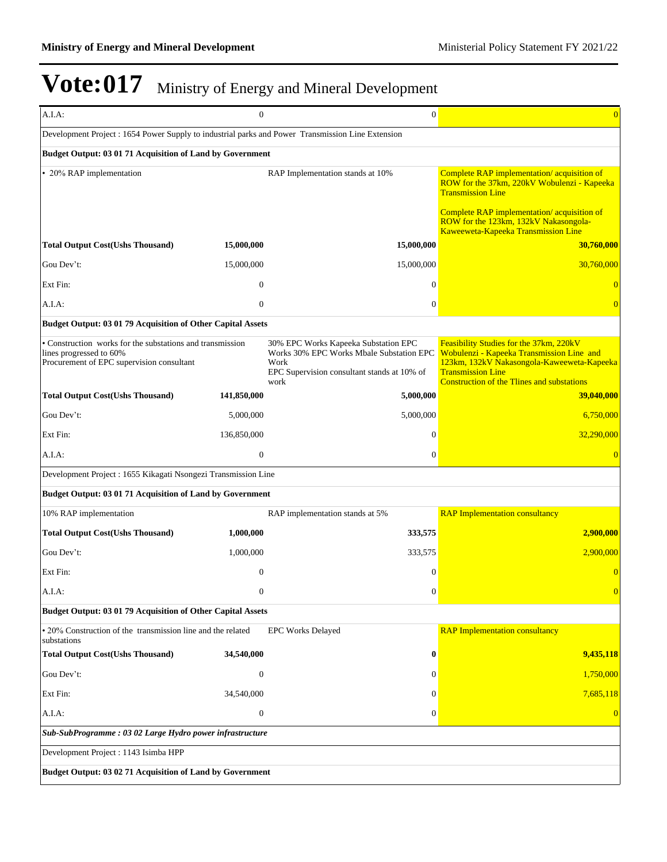| A.I.A:                                                                                                                            | $\boldsymbol{0}$ | $\boldsymbol{0}$                                                                                                                                | $\overline{0}$                                                                                                                                                                                                      |  |  |
|-----------------------------------------------------------------------------------------------------------------------------------|------------------|-------------------------------------------------------------------------------------------------------------------------------------------------|---------------------------------------------------------------------------------------------------------------------------------------------------------------------------------------------------------------------|--|--|
| Development Project : 1654 Power Supply to industrial parks and Power Transmission Line Extension                                 |                  |                                                                                                                                                 |                                                                                                                                                                                                                     |  |  |
| Budget Output: 03 01 71 Acquisition of Land by Government                                                                         |                  |                                                                                                                                                 |                                                                                                                                                                                                                     |  |  |
| • 20% RAP implementation                                                                                                          |                  | RAP Implementation stands at 10%                                                                                                                | Complete RAP implementation/acquisition of<br>ROW for the 37km, 220kV Wobulenzi - Kapeeka<br><b>Transmission Line</b>                                                                                               |  |  |
|                                                                                                                                   |                  |                                                                                                                                                 | Complete RAP implementation/acquisition of<br>ROW for the 123km, 132kV Nakasongola-<br>Kaweeweta-Kapeeka Transmission Line                                                                                          |  |  |
| <b>Total Output Cost(Ushs Thousand)</b>                                                                                           | 15,000,000       | 15,000,000                                                                                                                                      | 30,760,000                                                                                                                                                                                                          |  |  |
| Gou Dev't:                                                                                                                        | 15,000,000       | 15,000,000                                                                                                                                      | 30,760,000                                                                                                                                                                                                          |  |  |
| Ext Fin:                                                                                                                          | $\theta$         | $\Omega$                                                                                                                                        |                                                                                                                                                                                                                     |  |  |
| A.I.A:                                                                                                                            | $\mathbf{0}$     | $\theta$                                                                                                                                        | $\theta$                                                                                                                                                                                                            |  |  |
| Budget Output: 03 01 79 Acquisition of Other Capital Assets                                                                       |                  |                                                                                                                                                 |                                                                                                                                                                                                                     |  |  |
| • Construction works for the substations and transmission<br>lines progressed to 60%<br>Procurement of EPC supervision consultant |                  | 30% EPC Works Kapeeka Substation EPC<br>Works 30% EPC Works Mbale Substation EPC<br>Work<br>EPC Supervision consultant stands at 10% of<br>work | Feasibility Studies for the 37km, 220kV<br>Wobulenzi - Kapeeka Transmission Line and<br>123km, 132kV Nakasongola-Kaweeweta-Kapeeka<br><b>Transmission Line</b><br><b>Construction of the Tlines and substations</b> |  |  |
| <b>Total Output Cost(Ushs Thousand)</b>                                                                                           | 141,850,000      | 5,000,000                                                                                                                                       | 39,040,000                                                                                                                                                                                                          |  |  |
| Gou Dev't:                                                                                                                        | 5,000,000        | 5,000,000                                                                                                                                       | 6,750,000                                                                                                                                                                                                           |  |  |
| Ext Fin:                                                                                                                          | 136,850,000      | $\theta$                                                                                                                                        | 32,290,000                                                                                                                                                                                                          |  |  |
| A.I.A:                                                                                                                            | $\mathbf{0}$     | $\mathbf{0}$                                                                                                                                    | $\overline{0}$                                                                                                                                                                                                      |  |  |
| Development Project : 1655 Kikagati Nsongezi Transmission Line                                                                    |                  |                                                                                                                                                 |                                                                                                                                                                                                                     |  |  |
| Budget Output: 03 01 71 Acquisition of Land by Government                                                                         |                  |                                                                                                                                                 |                                                                                                                                                                                                                     |  |  |
| 10% RAP implementation                                                                                                            |                  | RAP implementation stands at 5%                                                                                                                 | <b>RAP Implementation consultancy</b>                                                                                                                                                                               |  |  |
| <b>Total Output Cost(Ushs Thousand)</b>                                                                                           | 1,000,000        | 333,575                                                                                                                                         | 2,900,000                                                                                                                                                                                                           |  |  |
| Gou Dev't:                                                                                                                        | 1,000,000        | 333,575                                                                                                                                         | 2,900,000                                                                                                                                                                                                           |  |  |
| Ext Fin:                                                                                                                          | $\theta$         | $\theta$                                                                                                                                        | $\overline{0}$                                                                                                                                                                                                      |  |  |
| A.I.A:                                                                                                                            | $\Omega$         | $\boldsymbol{0}$                                                                                                                                |                                                                                                                                                                                                                     |  |  |
| Budget Output: 03 01 79 Acquisition of Other Capital Assets                                                                       |                  |                                                                                                                                                 |                                                                                                                                                                                                                     |  |  |
| • 20% Construction of the transmission line and the related<br>substations                                                        |                  | <b>EPC Works Delayed</b>                                                                                                                        | <b>RAP Implementation consultancy</b>                                                                                                                                                                               |  |  |
| <b>Total Output Cost(Ushs Thousand)</b>                                                                                           | 34,540,000       | $\boldsymbol{0}$                                                                                                                                | 9,435,118                                                                                                                                                                                                           |  |  |
| Gou Dev't:                                                                                                                        | $\boldsymbol{0}$ | $\mathbf{0}$                                                                                                                                    | 1,750,000                                                                                                                                                                                                           |  |  |
| Ext Fin:                                                                                                                          | 34,540,000       | $\theta$                                                                                                                                        | 7,685,118                                                                                                                                                                                                           |  |  |
| A.I.A:                                                                                                                            | $\boldsymbol{0}$ | $\mathbf{0}$                                                                                                                                    | $\overline{0}$                                                                                                                                                                                                      |  |  |
| Sub-SubProgramme: 03 02 Large Hydro power infrastructure                                                                          |                  |                                                                                                                                                 |                                                                                                                                                                                                                     |  |  |
| Development Project : 1143 Isimba HPP                                                                                             |                  |                                                                                                                                                 |                                                                                                                                                                                                                     |  |  |
| Budget Output: 03 02 71 Acquisition of Land by Government                                                                         |                  |                                                                                                                                                 |                                                                                                                                                                                                                     |  |  |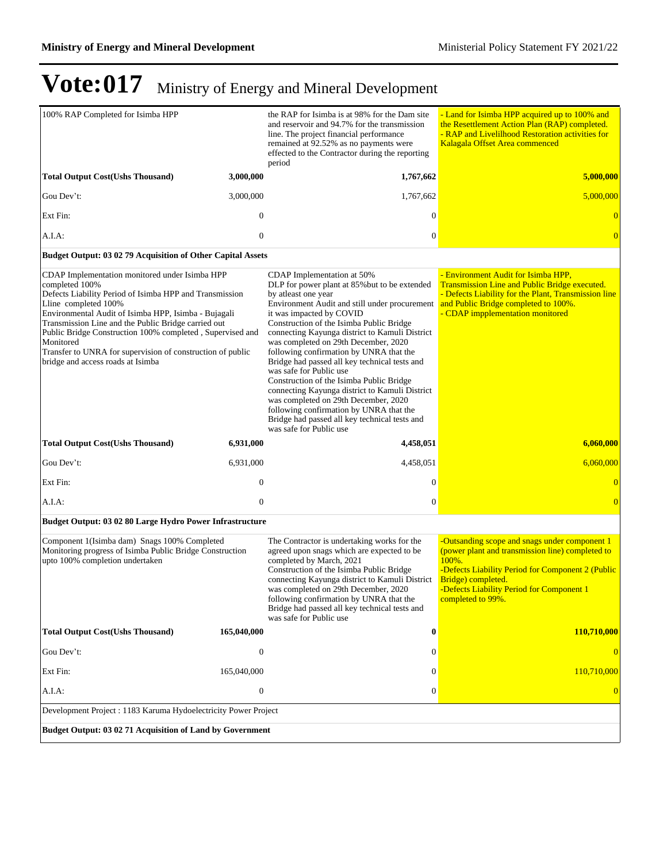| 100% RAP Completed for Isimba HPP                                                                                                                                                                                                                                                                                                                                                                                                               |                  | the RAP for Isimba is at 98% for the Dam site<br>and reservoir and 94.7% for the transmission<br>line. The project financial performance<br>remained at 92.52% as no payments were<br>effected to the Contractor during the reporting<br>period                                                                                                                                                                                                                                                                                                                                                                                                                                                           | - Land for Isimba HPP acquired up to 100% and<br>the Resettlement Action Plan (RAP) completed.<br>- RAP and Livelilhood Restoration activities for<br>Kalagala Offset Area commenced                                                                    |  |
|-------------------------------------------------------------------------------------------------------------------------------------------------------------------------------------------------------------------------------------------------------------------------------------------------------------------------------------------------------------------------------------------------------------------------------------------------|------------------|-----------------------------------------------------------------------------------------------------------------------------------------------------------------------------------------------------------------------------------------------------------------------------------------------------------------------------------------------------------------------------------------------------------------------------------------------------------------------------------------------------------------------------------------------------------------------------------------------------------------------------------------------------------------------------------------------------------|---------------------------------------------------------------------------------------------------------------------------------------------------------------------------------------------------------------------------------------------------------|--|
| <b>Total Output Cost(Ushs Thousand)</b>                                                                                                                                                                                                                                                                                                                                                                                                         | 3,000,000        | 1,767,662                                                                                                                                                                                                                                                                                                                                                                                                                                                                                                                                                                                                                                                                                                 | 5,000,000                                                                                                                                                                                                                                               |  |
| Gou Dev't:                                                                                                                                                                                                                                                                                                                                                                                                                                      | 3,000,000        | 1,767,662                                                                                                                                                                                                                                                                                                                                                                                                                                                                                                                                                                                                                                                                                                 | 5,000,000                                                                                                                                                                                                                                               |  |
| Ext Fin:                                                                                                                                                                                                                                                                                                                                                                                                                                        | $\theta$         | $\Omega$                                                                                                                                                                                                                                                                                                                                                                                                                                                                                                                                                                                                                                                                                                  |                                                                                                                                                                                                                                                         |  |
| A.I.A:                                                                                                                                                                                                                                                                                                                                                                                                                                          | $\overline{0}$   | $\mathbf{0}$                                                                                                                                                                                                                                                                                                                                                                                                                                                                                                                                                                                                                                                                                              |                                                                                                                                                                                                                                                         |  |
| Budget Output: 03 02 79 Acquisition of Other Capital Assets                                                                                                                                                                                                                                                                                                                                                                                     |                  |                                                                                                                                                                                                                                                                                                                                                                                                                                                                                                                                                                                                                                                                                                           |                                                                                                                                                                                                                                                         |  |
| CDAP Implementation monitored under Isimba HPP<br>completed 100%<br>Defects Liability Period of Isimba HPP and Transmission<br>Lline completed 100%<br>Environmental Audit of Isimba HPP, Isimba - Bujagali<br>Transmission Line and the Public Bridge carried out<br>Public Bridge Construction 100% completed, Supervised and<br>Monitored<br>Transfer to UNRA for supervision of construction of public<br>bridge and access roads at Isimba |                  | CDAP Implementation at 50%<br>DLP for power plant at 85% but to be extended<br>by atleast one year<br>Environment Audit and still under procurement<br>it was impacted by COVID<br>Construction of the Isimba Public Bridge<br>connecting Kayunga district to Kamuli District<br>was completed on 29th December, 2020<br>following confirmation by UNRA that the<br>Bridge had passed all key technical tests and<br>was safe for Public use<br>Construction of the Isimba Public Bridge<br>connecting Kayunga district to Kamuli District<br>was completed on 29th December, 2020<br>following confirmation by UNRA that the<br>Bridge had passed all key technical tests and<br>was safe for Public use | - Environment Audit for Isimba HPP,<br>Transmission Line and Public Bridge executed.<br>- Defects Liability for the Plant, Transmission line<br>and Public Bridge completed to 100%.<br>- CDAP impplementation monitored                                |  |
| <b>Total Output Cost(Ushs Thousand)</b>                                                                                                                                                                                                                                                                                                                                                                                                         | 6,931,000        | 4,458,051                                                                                                                                                                                                                                                                                                                                                                                                                                                                                                                                                                                                                                                                                                 | 6,060,000                                                                                                                                                                                                                                               |  |
| Gou Dev't:                                                                                                                                                                                                                                                                                                                                                                                                                                      | 6,931,000        | 4,458,051                                                                                                                                                                                                                                                                                                                                                                                                                                                                                                                                                                                                                                                                                                 | 6,060,000                                                                                                                                                                                                                                               |  |
| Ext Fin:                                                                                                                                                                                                                                                                                                                                                                                                                                        | $\boldsymbol{0}$ | $\theta$                                                                                                                                                                                                                                                                                                                                                                                                                                                                                                                                                                                                                                                                                                  | $\theta$                                                                                                                                                                                                                                                |  |
| A.I.A:                                                                                                                                                                                                                                                                                                                                                                                                                                          | $\mathbf{0}$     | $\theta$                                                                                                                                                                                                                                                                                                                                                                                                                                                                                                                                                                                                                                                                                                  | $\overline{0}$                                                                                                                                                                                                                                          |  |
| Budget Output: 03 02 80 Large Hydro Power Infrastructure                                                                                                                                                                                                                                                                                                                                                                                        |                  |                                                                                                                                                                                                                                                                                                                                                                                                                                                                                                                                                                                                                                                                                                           |                                                                                                                                                                                                                                                         |  |
| Component 1(Isimba dam) Snags 100% Completed<br>Monitoring progress of Isimba Public Bridge Construction<br>upto 100% completion undertaken                                                                                                                                                                                                                                                                                                     |                  | The Contractor is undertaking works for the<br>agreed upon snags which are expected to be<br>completed by March, 2021<br>Construction of the Isimba Public Bridge<br>connecting Kayunga district to Kamuli District<br>was completed on 29th December, 2020<br>following confirmation by UNRA that the<br>Bridge had passed all key technical tests and<br>was safe for Public use                                                                                                                                                                                                                                                                                                                        | -Outsanding scope and snags under component 1<br>(power plant and transmission line) completed to<br>100%.<br>-Defects Liability Period for Component 2 (Public<br>Bridge) completed.<br>-Defects Liability Period for Component 1<br>completed to 99%. |  |
| <b>Total Output Cost(Ushs Thousand)</b>                                                                                                                                                                                                                                                                                                                                                                                                         | 165,040,000      | $\bf{0}$                                                                                                                                                                                                                                                                                                                                                                                                                                                                                                                                                                                                                                                                                                  | 110,710,000                                                                                                                                                                                                                                             |  |
| Gou Dev't:                                                                                                                                                                                                                                                                                                                                                                                                                                      | $\boldsymbol{0}$ | $\Omega$                                                                                                                                                                                                                                                                                                                                                                                                                                                                                                                                                                                                                                                                                                  |                                                                                                                                                                                                                                                         |  |
| Ext Fin:                                                                                                                                                                                                                                                                                                                                                                                                                                        | 165,040,000      | $\Omega$                                                                                                                                                                                                                                                                                                                                                                                                                                                                                                                                                                                                                                                                                                  | 110,710,000                                                                                                                                                                                                                                             |  |
| A.I.A:                                                                                                                                                                                                                                                                                                                                                                                                                                          | $\boldsymbol{0}$ | $\mathbf{0}$                                                                                                                                                                                                                                                                                                                                                                                                                                                                                                                                                                                                                                                                                              |                                                                                                                                                                                                                                                         |  |
| Development Project : 1183 Karuma Hydoelectricity Power Project                                                                                                                                                                                                                                                                                                                                                                                 |                  |                                                                                                                                                                                                                                                                                                                                                                                                                                                                                                                                                                                                                                                                                                           |                                                                                                                                                                                                                                                         |  |
| Budget Output: 03 02 71 Acquisition of Land by Government                                                                                                                                                                                                                                                                                                                                                                                       |                  |                                                                                                                                                                                                                                                                                                                                                                                                                                                                                                                                                                                                                                                                                                           |                                                                                                                                                                                                                                                         |  |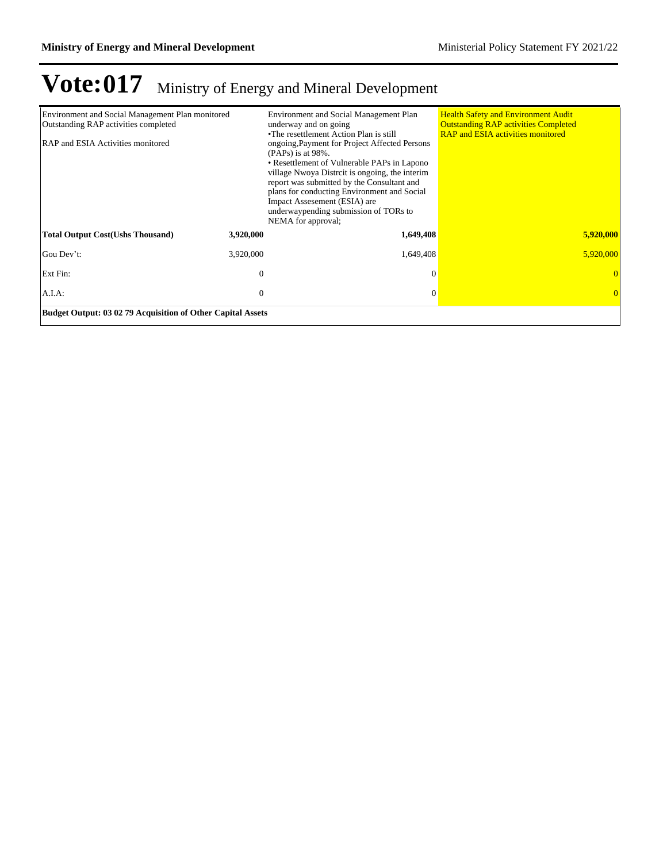| Environment and Social Management Plan monitored<br>Outstanding RAP activities completed<br>RAP and ESIA Activities monitored |           | Environment and Social Management Plan<br>underway and on going<br>•The resettlement Action Plan is still<br>ongoing, Payment for Project Affected Persons<br>$(PAPs)$ is at 98%.<br>• Resettlement of Vulnerable PAPs in Lapono<br>village Nwoya Distrcit is ongoing, the interim<br>report was submitted by the Consultant and<br>plans for conducting Environment and Social<br>Impact Assesement (ESIA) are<br>underwaypending submission of TORs to<br>NEMA for approval; | <b>Health Safety and Environment Audit</b><br><b>Outstanding RAP activities Completed</b><br><b>RAP and ESIA activities monitored</b> |           |
|-------------------------------------------------------------------------------------------------------------------------------|-----------|--------------------------------------------------------------------------------------------------------------------------------------------------------------------------------------------------------------------------------------------------------------------------------------------------------------------------------------------------------------------------------------------------------------------------------------------------------------------------------|---------------------------------------------------------------------------------------------------------------------------------------|-----------|
| <b>Total Output Cost(Ushs Thousand)</b>                                                                                       | 3,920,000 | 1,649,408                                                                                                                                                                                                                                                                                                                                                                                                                                                                      |                                                                                                                                       | 5,920,000 |
| Gou Dev't:                                                                                                                    | 3,920,000 | 1,649,408                                                                                                                                                                                                                                                                                                                                                                                                                                                                      |                                                                                                                                       | 5,920,000 |
| Ext Fin:                                                                                                                      | $\theta$  | $\Omega$                                                                                                                                                                                                                                                                                                                                                                                                                                                                       |                                                                                                                                       |           |
| A.I.A:                                                                                                                        | $\theta$  | 0                                                                                                                                                                                                                                                                                                                                                                                                                                                                              |                                                                                                                                       |           |
| Budget Output: 03 02 79 Acquisition of Other Capital Assets                                                                   |           |                                                                                                                                                                                                                                                                                                                                                                                                                                                                                |                                                                                                                                       |           |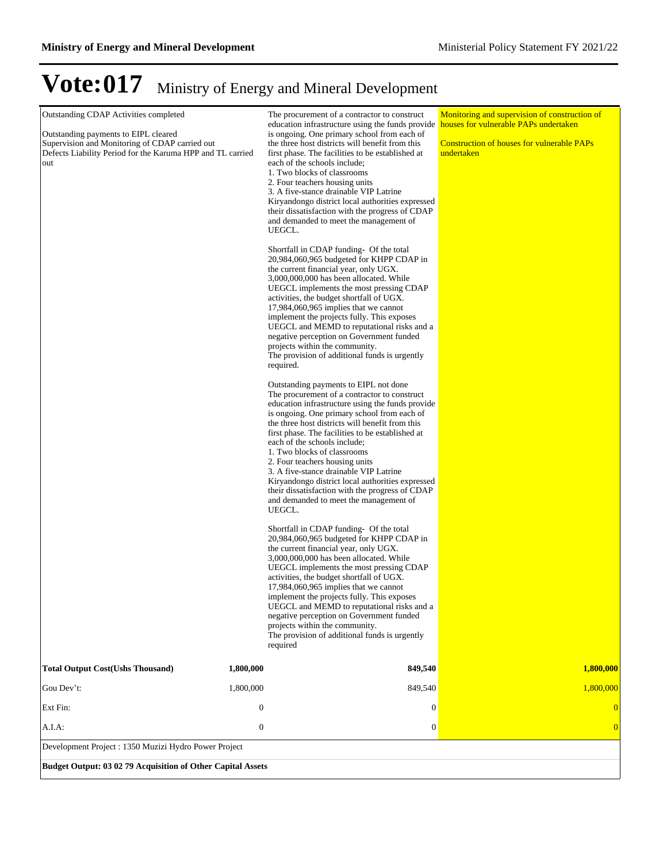| Outstanding CDAP Activities completed<br>Outstanding payments to EIPL cleared<br>Supervision and Monitoring of CDAP carried out<br>Defects Liability Period for the Karuma HPP and TL carried<br>out | The procurement of a contractor to construct<br>education infrastructure using the funds provide<br>is ongoing. One primary school from each of<br>the three host districts will benefit from this<br>first phase. The facilities to be established at<br>each of the schools include;<br>1. Two blocks of classrooms<br>2. Four teachers housing units<br>3. A five-stance drainable VIP Latrine<br>Kiryandongo district local authorities expressed<br>their dissatisfaction with the progress of CDAP<br>and demanded to meet the management of<br>UEGCL.<br>Shortfall in CDAP funding- Of the total<br>20,984,060,965 budgeted for KHPP CDAP in<br>the current financial year, only UGX.<br>3,000,000,000 has been allocated. While<br>UEGCL implements the most pressing CDAP<br>activities, the budget shortfall of UGX.<br>$17,984,060,965$ implies that we cannot<br>implement the projects fully. This exposes<br>UEGCL and MEMD to reputational risks and a<br>negative perception on Government funded<br>projects within the community.<br>The provision of additional funds is urgently<br>required.<br>Outstanding payments to EIPL not done<br>The procurement of a contractor to construct<br>education infrastructure using the funds provide<br>is ongoing. One primary school from each of<br>the three host districts will benefit from this<br>first phase. The facilities to be established at<br>each of the schools include;<br>1. Two blocks of classrooms<br>2. Four teachers housing units<br>3. A five-stance drainable VIP Latrine<br>Kiryandongo district local authorities expressed<br>their dissatisfaction with the progress of CDAP<br>and demanded to meet the management of<br>UEGCL.<br>Shortfall in CDAP funding- Of the total<br>20,984,060,965 budgeted for KHPP CDAP in<br>the current financial year, only UGX.<br>3,000,000,000 has been allocated. While<br>UEGCL implements the most pressing CDAP<br>activities, the budget shortfall of UGX.<br>$17,984,060,965$ implies that we cannot<br>implement the projects fully. This exposes<br>UEGCL and MEMD to reputational risks and a<br>negative perception on Government funded<br>projects within the community.<br>The provision of additional funds is urgently<br>required | Monitoring and supervision of construction of<br>houses for vulnerable PAPs undertaken<br><b>Construction of houses for vulnerable PAPs</b><br>undertaken |
|------------------------------------------------------------------------------------------------------------------------------------------------------------------------------------------------------|--------------------------------------------------------------------------------------------------------------------------------------------------------------------------------------------------------------------------------------------------------------------------------------------------------------------------------------------------------------------------------------------------------------------------------------------------------------------------------------------------------------------------------------------------------------------------------------------------------------------------------------------------------------------------------------------------------------------------------------------------------------------------------------------------------------------------------------------------------------------------------------------------------------------------------------------------------------------------------------------------------------------------------------------------------------------------------------------------------------------------------------------------------------------------------------------------------------------------------------------------------------------------------------------------------------------------------------------------------------------------------------------------------------------------------------------------------------------------------------------------------------------------------------------------------------------------------------------------------------------------------------------------------------------------------------------------------------------------------------------------------------------------------------------------------------------------------------------------------------------------------------------------------------------------------------------------------------------------------------------------------------------------------------------------------------------------------------------------------------------------------------------------------------------------------------------------------------------------------------------------------------------------------|-----------------------------------------------------------------------------------------------------------------------------------------------------------|
| <b>Total Output Cost(Ushs Thousand)</b><br>1,800,000                                                                                                                                                 | 849,540                                                                                                                                                                                                                                                                                                                                                                                                                                                                                                                                                                                                                                                                                                                                                                                                                                                                                                                                                                                                                                                                                                                                                                                                                                                                                                                                                                                                                                                                                                                                                                                                                                                                                                                                                                                                                                                                                                                                                                                                                                                                                                                                                                                                                                                                        | 1,800,000                                                                                                                                                 |
| Gou Dev't:<br>1,800,000                                                                                                                                                                              | 849,540                                                                                                                                                                                                                                                                                                                                                                                                                                                                                                                                                                                                                                                                                                                                                                                                                                                                                                                                                                                                                                                                                                                                                                                                                                                                                                                                                                                                                                                                                                                                                                                                                                                                                                                                                                                                                                                                                                                                                                                                                                                                                                                                                                                                                                                                        | 1,800,000                                                                                                                                                 |
| $\boldsymbol{0}$<br>Ext Fin:                                                                                                                                                                         | $\boldsymbol{0}$                                                                                                                                                                                                                                                                                                                                                                                                                                                                                                                                                                                                                                                                                                                                                                                                                                                                                                                                                                                                                                                                                                                                                                                                                                                                                                                                                                                                                                                                                                                                                                                                                                                                                                                                                                                                                                                                                                                                                                                                                                                                                                                                                                                                                                                               |                                                                                                                                                           |
| $\boldsymbol{0}$<br>A.I.A:                                                                                                                                                                           | $\boldsymbol{0}$                                                                                                                                                                                                                                                                                                                                                                                                                                                                                                                                                                                                                                                                                                                                                                                                                                                                                                                                                                                                                                                                                                                                                                                                                                                                                                                                                                                                                                                                                                                                                                                                                                                                                                                                                                                                                                                                                                                                                                                                                                                                                                                                                                                                                                                               |                                                                                                                                                           |
| Development Project : 1350 Muzizi Hydro Power Project                                                                                                                                                |                                                                                                                                                                                                                                                                                                                                                                                                                                                                                                                                                                                                                                                                                                                                                                                                                                                                                                                                                                                                                                                                                                                                                                                                                                                                                                                                                                                                                                                                                                                                                                                                                                                                                                                                                                                                                                                                                                                                                                                                                                                                                                                                                                                                                                                                                |                                                                                                                                                           |
| Budget Output: 03 02 79 Acquisition of Other Capital Assets                                                                                                                                          |                                                                                                                                                                                                                                                                                                                                                                                                                                                                                                                                                                                                                                                                                                                                                                                                                                                                                                                                                                                                                                                                                                                                                                                                                                                                                                                                                                                                                                                                                                                                                                                                                                                                                                                                                                                                                                                                                                                                                                                                                                                                                                                                                                                                                                                                                |                                                                                                                                                           |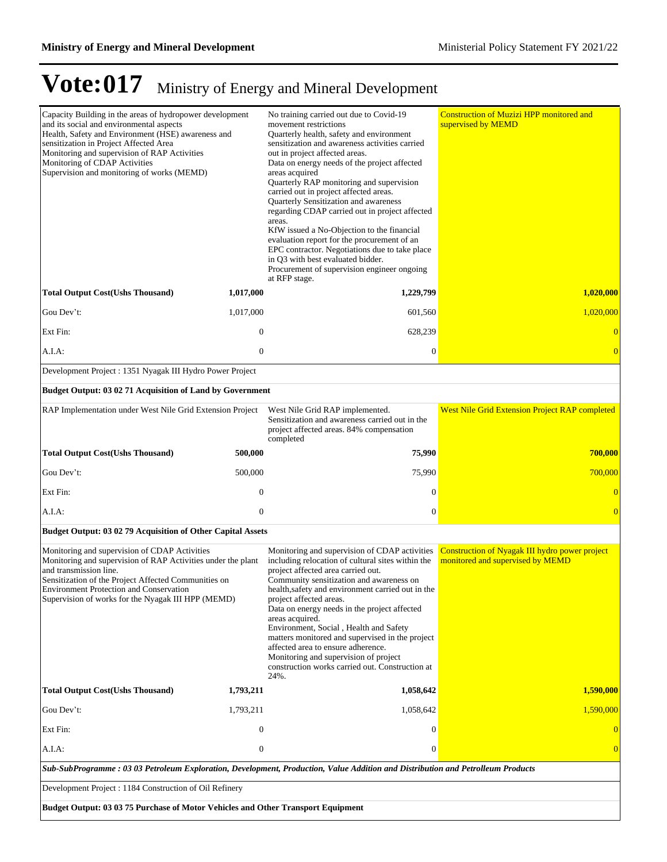| Capacity Building in the areas of hydropower development<br>and its social and environmental aspects<br>Health, Safety and Environment (HSE) awareness and<br>sensitization in Project Affected Area<br>Monitoring and supervision of RAP Activities<br>Monitoring of CDAP Activities<br>Supervision and monitoring of works (MEMD) |                  | No training carried out due to Covid-19<br>movement restrictions<br>Quarterly health, safety and environment<br>sensitization and awareness activities carried<br>out in project affected areas.<br>Data on energy needs of the project affected<br>areas acquired<br>Quarterly RAP monitoring and supervision<br>carried out in project affected areas.<br>Quarterly Sensitization and awareness<br>regarding CDAP carried out in project affected<br>areas.<br>KfW issued a No-Objection to the financial<br>evaluation report for the procurement of an<br>EPC contractor. Negotiations due to take place<br>in Q3 with best evaluated bidder.<br>Procurement of supervision engineer ongoing<br>at RFP stage. | <b>Construction of Muzizi HPP monitored and</b><br>supervised by MEMD              |  |  |
|-------------------------------------------------------------------------------------------------------------------------------------------------------------------------------------------------------------------------------------------------------------------------------------------------------------------------------------|------------------|-------------------------------------------------------------------------------------------------------------------------------------------------------------------------------------------------------------------------------------------------------------------------------------------------------------------------------------------------------------------------------------------------------------------------------------------------------------------------------------------------------------------------------------------------------------------------------------------------------------------------------------------------------------------------------------------------------------------|------------------------------------------------------------------------------------|--|--|
| <b>Total Output Cost(Ushs Thousand)</b>                                                                                                                                                                                                                                                                                             | 1,017,000        | 1,229,799                                                                                                                                                                                                                                                                                                                                                                                                                                                                                                                                                                                                                                                                                                         | 1,020,000                                                                          |  |  |
| Gou Dev't:                                                                                                                                                                                                                                                                                                                          | 1,017,000        | 601,560                                                                                                                                                                                                                                                                                                                                                                                                                                                                                                                                                                                                                                                                                                           | 1,020,000                                                                          |  |  |
| Ext Fin:                                                                                                                                                                                                                                                                                                                            | $\boldsymbol{0}$ | 628,239                                                                                                                                                                                                                                                                                                                                                                                                                                                                                                                                                                                                                                                                                                           | $\overline{0}$                                                                     |  |  |
| A.I.A:                                                                                                                                                                                                                                                                                                                              | $\mathbf{0}$     | $\mathbf{0}$                                                                                                                                                                                                                                                                                                                                                                                                                                                                                                                                                                                                                                                                                                      | $\overline{0}$                                                                     |  |  |
| Development Project : 1351 Nyagak III Hydro Power Project                                                                                                                                                                                                                                                                           |                  |                                                                                                                                                                                                                                                                                                                                                                                                                                                                                                                                                                                                                                                                                                                   |                                                                                    |  |  |
| Budget Output: 03 02 71 Acquisition of Land by Government                                                                                                                                                                                                                                                                           |                  |                                                                                                                                                                                                                                                                                                                                                                                                                                                                                                                                                                                                                                                                                                                   |                                                                                    |  |  |
| RAP Implementation under West Nile Grid Extension Project                                                                                                                                                                                                                                                                           |                  | West Nile Grid RAP implemented.<br>Sensitization and awareness carried out in the<br>project affected areas. 84% compensation<br>completed                                                                                                                                                                                                                                                                                                                                                                                                                                                                                                                                                                        | <b>West Nile Grid Extension Project RAP completed</b>                              |  |  |
| <b>Total Output Cost(Ushs Thousand)</b>                                                                                                                                                                                                                                                                                             | 500,000          | 75,990                                                                                                                                                                                                                                                                                                                                                                                                                                                                                                                                                                                                                                                                                                            | 700,000                                                                            |  |  |
| Gou Dev't:                                                                                                                                                                                                                                                                                                                          | 500,000          | 75,990                                                                                                                                                                                                                                                                                                                                                                                                                                                                                                                                                                                                                                                                                                            | 700,000                                                                            |  |  |
| Ext Fin:                                                                                                                                                                                                                                                                                                                            | $\mathbf{0}$     | $\mathbf{0}$                                                                                                                                                                                                                                                                                                                                                                                                                                                                                                                                                                                                                                                                                                      | $\overline{0}$                                                                     |  |  |
| A.I.A:                                                                                                                                                                                                                                                                                                                              | $\mathbf{0}$     | $\boldsymbol{0}$                                                                                                                                                                                                                                                                                                                                                                                                                                                                                                                                                                                                                                                                                                  | $\overline{0}$                                                                     |  |  |
| Budget Output: 03 02 79 Acquisition of Other Capital Assets                                                                                                                                                                                                                                                                         |                  |                                                                                                                                                                                                                                                                                                                                                                                                                                                                                                                                                                                                                                                                                                                   |                                                                                    |  |  |
| Monitoring and supervision of CDAP Activities<br>Monitoring and supervision of RAP Activities under the plant<br>and transmission line.<br>Sensitization of the Project Affected Communities on<br><b>Environment Protection and Conservation</b><br>Supervision of works for the Nyagak III HPP (MEMD)                             |                  | Monitoring and supervision of CDAP activities<br>including relocation of cultural sites within the<br>project affected area carried out.<br>Community sensitization and awareness on<br>health, safety and environment carried out in the<br>project affected areas.<br>Data on energy needs in the project affected<br>areas acquired.<br>Environment, Social, Health and Safety<br>matters monitored and supervised in the project<br>affected area to ensure adherence.<br>Monitoring and supervision of project<br>construction works carried out. Construction at<br>24%.                                                                                                                                    | Construction of Nyagak III hydro power project<br>monitored and supervised by MEMD |  |  |
| <b>Total Output Cost(Ushs Thousand)</b>                                                                                                                                                                                                                                                                                             | 1,793,211        | 1,058,642                                                                                                                                                                                                                                                                                                                                                                                                                                                                                                                                                                                                                                                                                                         | 1,590,000                                                                          |  |  |
| Gou Dev't:                                                                                                                                                                                                                                                                                                                          | 1,793,211        | 1,058,642                                                                                                                                                                                                                                                                                                                                                                                                                                                                                                                                                                                                                                                                                                         | 1,590,000                                                                          |  |  |
| Ext Fin:                                                                                                                                                                                                                                                                                                                            | $\mathbf{0}$     | $\theta$                                                                                                                                                                                                                                                                                                                                                                                                                                                                                                                                                                                                                                                                                                          | $\theta$                                                                           |  |  |
| A.I.A:                                                                                                                                                                                                                                                                                                                              | $\mathbf{0}$     | $\theta$                                                                                                                                                                                                                                                                                                                                                                                                                                                                                                                                                                                                                                                                                                          | $\overline{0}$                                                                     |  |  |
| Sub-SubProgramme: 03 03 Petroleum Exploration, Development, Production, Value Addition and Distribution and Petrolleum Products                                                                                                                                                                                                     |                  |                                                                                                                                                                                                                                                                                                                                                                                                                                                                                                                                                                                                                                                                                                                   |                                                                                    |  |  |
| Development Project : 1184 Construction of Oil Refinery                                                                                                                                                                                                                                                                             |                  |                                                                                                                                                                                                                                                                                                                                                                                                                                                                                                                                                                                                                                                                                                                   |                                                                                    |  |  |
| Budget Output: 03 03 75 Purchase of Motor Vehicles and Other Transport Equipment                                                                                                                                                                                                                                                    |                  |                                                                                                                                                                                                                                                                                                                                                                                                                                                                                                                                                                                                                                                                                                                   |                                                                                    |  |  |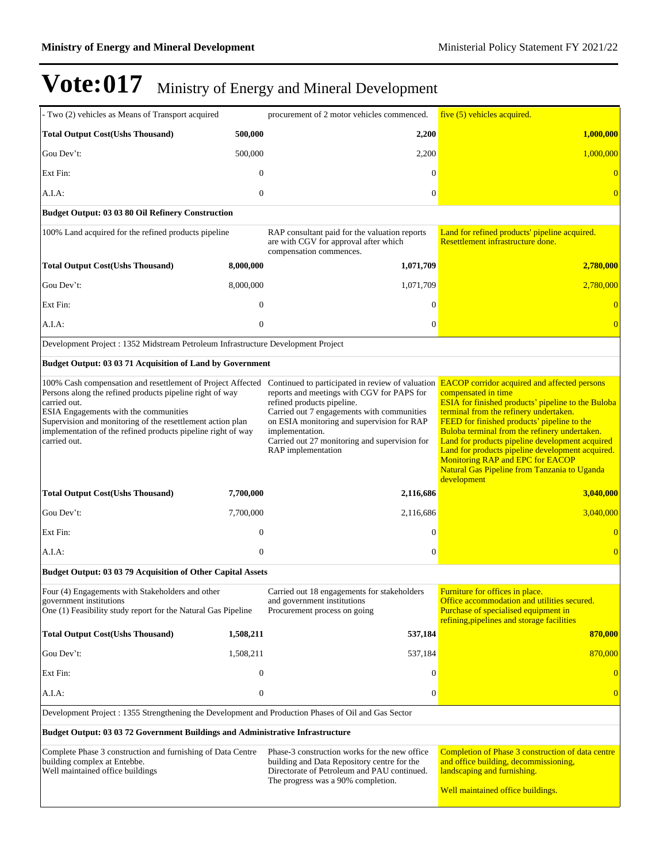| - Two (2) vehicles as Means of Transport acquired                                                                                                                                                                                                                                                                                                                                                                                   |                  | procurement of 2 motor vehicles commenced.                                                                                                                                                                                                                     | five (5) vehicles acquired.                                                                                                                                                                                                                                                                                                                                                                                                                 |
|-------------------------------------------------------------------------------------------------------------------------------------------------------------------------------------------------------------------------------------------------------------------------------------------------------------------------------------------------------------------------------------------------------------------------------------|------------------|----------------------------------------------------------------------------------------------------------------------------------------------------------------------------------------------------------------------------------------------------------------|---------------------------------------------------------------------------------------------------------------------------------------------------------------------------------------------------------------------------------------------------------------------------------------------------------------------------------------------------------------------------------------------------------------------------------------------|
| <b>Total Output Cost(Ushs Thousand)</b>                                                                                                                                                                                                                                                                                                                                                                                             | 500,000          | 2,200                                                                                                                                                                                                                                                          | <b>1,000,000</b>                                                                                                                                                                                                                                                                                                                                                                                                                            |
| Gou Dev't:                                                                                                                                                                                                                                                                                                                                                                                                                          | 500,000          | 2,200                                                                                                                                                                                                                                                          | 1,000,000                                                                                                                                                                                                                                                                                                                                                                                                                                   |
| Ext Fin:                                                                                                                                                                                                                                                                                                                                                                                                                            | $\mathbf{0}$     | 0                                                                                                                                                                                                                                                              |                                                                                                                                                                                                                                                                                                                                                                                                                                             |
| A.I.A:                                                                                                                                                                                                                                                                                                                                                                                                                              | $\mathbf{0}$     | $\boldsymbol{0}$                                                                                                                                                                                                                                               | $\overline{0}$                                                                                                                                                                                                                                                                                                                                                                                                                              |
| Budget Output: 03 03 80 Oil Refinery Construction                                                                                                                                                                                                                                                                                                                                                                                   |                  |                                                                                                                                                                                                                                                                |                                                                                                                                                                                                                                                                                                                                                                                                                                             |
| 100% Land acquired for the refined products pipeline                                                                                                                                                                                                                                                                                                                                                                                |                  | RAP consultant paid for the valuation reports<br>are with CGV for approval after which<br>compensation commences.                                                                                                                                              | Land for refined products' pipeline acquired.<br>Resettlement infrastructure done.                                                                                                                                                                                                                                                                                                                                                          |
| <b>Total Output Cost(Ushs Thousand)</b>                                                                                                                                                                                                                                                                                                                                                                                             | 8,000,000        | 1,071,709                                                                                                                                                                                                                                                      | 2,780,000                                                                                                                                                                                                                                                                                                                                                                                                                                   |
| Gou Dev't:                                                                                                                                                                                                                                                                                                                                                                                                                          | 8,000,000        | 1,071,709                                                                                                                                                                                                                                                      | 2,780,000                                                                                                                                                                                                                                                                                                                                                                                                                                   |
| Ext Fin:                                                                                                                                                                                                                                                                                                                                                                                                                            | $\boldsymbol{0}$ | 0                                                                                                                                                                                                                                                              | $\bf{0}$                                                                                                                                                                                                                                                                                                                                                                                                                                    |
| A.I.A:                                                                                                                                                                                                                                                                                                                                                                                                                              | $\boldsymbol{0}$ | $\overline{0}$                                                                                                                                                                                                                                                 | $\overline{0}$                                                                                                                                                                                                                                                                                                                                                                                                                              |
| Development Project : 1352 Midstream Petroleum Infrastructure Development Project                                                                                                                                                                                                                                                                                                                                                   |                  |                                                                                                                                                                                                                                                                |                                                                                                                                                                                                                                                                                                                                                                                                                                             |
| <b>Budget Output: 03 03 71 Acquisition of Land by Government</b>                                                                                                                                                                                                                                                                                                                                                                    |                  |                                                                                                                                                                                                                                                                |                                                                                                                                                                                                                                                                                                                                                                                                                                             |
| 100% Cash compensation and resettlement of Project Affected Continued to participated in review of valuation <b>EACOP</b> corridor acquired and affected persons<br>Persons along the refined products pipeline right of way<br>carried out.<br>ESIA Engagements with the communities<br>Supervision and monitoring of the resettlement action plan<br>implementation of the refined products pipeline right of way<br>carried out. |                  | reports and meetings with CGV for PAPS for<br>refined products pipeline.<br>Carried out 7 engagements with communities<br>on ESIA monitoring and supervision for RAP<br>implementation.<br>Carried out 27 monitoring and supervision for<br>RAP implementation | compensated in time<br><b>ESIA</b> for finished products' pipeline to the Buloba<br>terminal from the refinery undertaken.<br>FEED for finished products' pipeline to the<br>Buloba terminal from the refinery undertaken.<br>Land for products pipeline development acquired<br>Land for products pipeline development acquired.<br><b>Monitoring RAP and EPC for EACOP</b><br>Natural Gas Pipeline from Tanzania to Uganda<br>development |
| <b>Total Output Cost(Ushs Thousand)</b>                                                                                                                                                                                                                                                                                                                                                                                             | 7,700,000        | 2,116,686                                                                                                                                                                                                                                                      | 3,040,000                                                                                                                                                                                                                                                                                                                                                                                                                                   |
| Gou Dev't:                                                                                                                                                                                                                                                                                                                                                                                                                          | 7,700,000        | 2,116,686                                                                                                                                                                                                                                                      | 3,040,000                                                                                                                                                                                                                                                                                                                                                                                                                                   |
| Ext Fin:                                                                                                                                                                                                                                                                                                                                                                                                                            | $\mathbf{0}$     | 0                                                                                                                                                                                                                                                              |                                                                                                                                                                                                                                                                                                                                                                                                                                             |
| A.I.A:                                                                                                                                                                                                                                                                                                                                                                                                                              | $\mathbf{0}$     | $\boldsymbol{0}$                                                                                                                                                                                                                                               | $\overline{0}$                                                                                                                                                                                                                                                                                                                                                                                                                              |
| Budget Output: 03 03 79 Acquisition of Other Capital Assets                                                                                                                                                                                                                                                                                                                                                                         |                  |                                                                                                                                                                                                                                                                |                                                                                                                                                                                                                                                                                                                                                                                                                                             |
| Four (4) Engagements with Stakeholders and other<br>government institutions<br>One (1) Feasibility study report for the Natural Gas Pipeline                                                                                                                                                                                                                                                                                        |                  | Carried out 18 engagements for stakeholders<br>and government institutions<br>Procurement process on going                                                                                                                                                     | Furniture for offices in place.<br>Office accommodation and utilities secured.<br>Purchase of specialised equipment in<br>refining, pipelines and storage facilities                                                                                                                                                                                                                                                                        |
| <b>Total Output Cost(Ushs Thousand)</b>                                                                                                                                                                                                                                                                                                                                                                                             | 1,508,211        | 537,184                                                                                                                                                                                                                                                        | 870,000                                                                                                                                                                                                                                                                                                                                                                                                                                     |
| Gou Dev't:                                                                                                                                                                                                                                                                                                                                                                                                                          | 1,508,211        | 537,184                                                                                                                                                                                                                                                        | 870,000                                                                                                                                                                                                                                                                                                                                                                                                                                     |
| Ext Fin:                                                                                                                                                                                                                                                                                                                                                                                                                            | $\mathbf{0}$     | $\mathbf{0}$                                                                                                                                                                                                                                                   | $\mathbf{0}$                                                                                                                                                                                                                                                                                                                                                                                                                                |
| A.I.A:                                                                                                                                                                                                                                                                                                                                                                                                                              | $\mathbf{0}$     | $\boldsymbol{0}$                                                                                                                                                                                                                                               | $\overline{0}$                                                                                                                                                                                                                                                                                                                                                                                                                              |
| Development Project : 1355 Strengthening the Development and Production Phases of Oil and Gas Sector                                                                                                                                                                                                                                                                                                                                |                  |                                                                                                                                                                                                                                                                |                                                                                                                                                                                                                                                                                                                                                                                                                                             |
| <b>Budget Output: 03 03 72 Government Buildings and Administrative Infrastructure</b>                                                                                                                                                                                                                                                                                                                                               |                  |                                                                                                                                                                                                                                                                |                                                                                                                                                                                                                                                                                                                                                                                                                                             |
| Complete Phase 3 construction and furnishing of Data Centre<br>building complex at Entebbe.<br>Well maintained office buildings                                                                                                                                                                                                                                                                                                     |                  | Phase-3 construction works for the new office<br>building and Data Repository centre for the<br>Directorate of Petroleum and PAU continued.<br>The progress was a 90% completion.                                                                              | Completion of Phase 3 construction of data centre<br>and office building, decommissioning,<br>landscaping and furnishing.<br>Well maintained office buildings.                                                                                                                                                                                                                                                                              |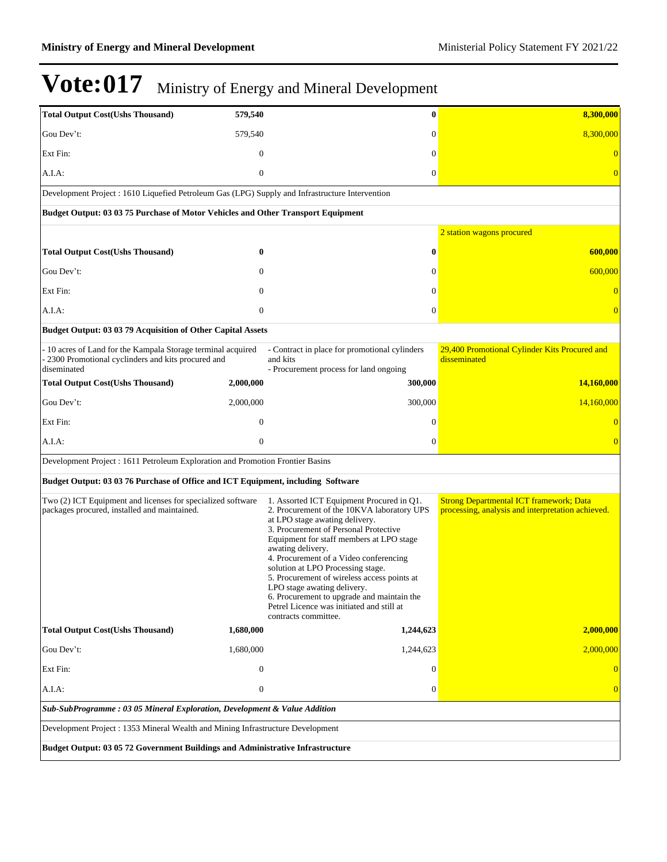| <b>Total Output Cost(Ushs Thousand)</b>                                                                                            | 579,540                                                                   | $\bf{0}$                                                                                                                                                                                                                                                                                                                                                                                                                                                                                                            | 8,300,000                                                                                           |  |  |
|------------------------------------------------------------------------------------------------------------------------------------|---------------------------------------------------------------------------|---------------------------------------------------------------------------------------------------------------------------------------------------------------------------------------------------------------------------------------------------------------------------------------------------------------------------------------------------------------------------------------------------------------------------------------------------------------------------------------------------------------------|-----------------------------------------------------------------------------------------------------|--|--|
| Gou Dev't:                                                                                                                         | 579,540                                                                   | $\mathbf{0}$                                                                                                                                                                                                                                                                                                                                                                                                                                                                                                        | 8,300,000                                                                                           |  |  |
| Ext Fin:                                                                                                                           | $\mathbf{0}$                                                              | $\mathbf{0}$                                                                                                                                                                                                                                                                                                                                                                                                                                                                                                        | $\overline{0}$                                                                                      |  |  |
| A.I.A:                                                                                                                             | $\boldsymbol{0}$                                                          | $\boldsymbol{0}$                                                                                                                                                                                                                                                                                                                                                                                                                                                                                                    | $\overline{0}$                                                                                      |  |  |
| Development Project : 1610 Liquefied Petroleum Gas (LPG) Supply and Infrastructure Intervention                                    |                                                                           |                                                                                                                                                                                                                                                                                                                                                                                                                                                                                                                     |                                                                                                     |  |  |
| Budget Output: 03 03 75 Purchase of Motor Vehicles and Other Transport Equipment                                                   |                                                                           |                                                                                                                                                                                                                                                                                                                                                                                                                                                                                                                     |                                                                                                     |  |  |
|                                                                                                                                    |                                                                           |                                                                                                                                                                                                                                                                                                                                                                                                                                                                                                                     | 2 station wagons procured                                                                           |  |  |
| <b>Total Output Cost(Ushs Thousand)</b>                                                                                            | 0                                                                         | $\bf{0}$                                                                                                                                                                                                                                                                                                                                                                                                                                                                                                            | 600,000                                                                                             |  |  |
| Gou Dev't:                                                                                                                         | $\mathbf{0}$                                                              | $\mathbf{0}$                                                                                                                                                                                                                                                                                                                                                                                                                                                                                                        | 600,000                                                                                             |  |  |
| Ext Fin:                                                                                                                           | $\Omega$                                                                  | $\Omega$                                                                                                                                                                                                                                                                                                                                                                                                                                                                                                            | $\overline{0}$                                                                                      |  |  |
| A.I.A:                                                                                                                             | $\mathbf{0}$                                                              | $\mathbf{0}$                                                                                                                                                                                                                                                                                                                                                                                                                                                                                                        | $\overline{0}$                                                                                      |  |  |
| Budget Output: 03 03 79 Acquisition of Other Capital Assets                                                                        |                                                                           |                                                                                                                                                                                                                                                                                                                                                                                                                                                                                                                     |                                                                                                     |  |  |
| - 10 acres of Land for the Kampala Storage terminal acquired<br>- 2300 Promotional cyclinders and kits procured and<br>diseminated |                                                                           | - Contract in place for promotional cylinders<br>and kits<br>- Procurement process for land ongoing                                                                                                                                                                                                                                                                                                                                                                                                                 | 29,400 Promotional Cylinder Kits Procured and<br>disseminated                                       |  |  |
| <b>Total Output Cost(Ushs Thousand)</b>                                                                                            | 2,000,000                                                                 | 300,000                                                                                                                                                                                                                                                                                                                                                                                                                                                                                                             | 14,160,000                                                                                          |  |  |
| Gou Dev't:                                                                                                                         | 2,000,000                                                                 | 300,000                                                                                                                                                                                                                                                                                                                                                                                                                                                                                                             | 14,160,000                                                                                          |  |  |
| Ext Fin:                                                                                                                           | $\mathbf{0}$                                                              | $\Omega$                                                                                                                                                                                                                                                                                                                                                                                                                                                                                                            | $\overline{0}$                                                                                      |  |  |
| A.I.A:                                                                                                                             | $\overline{0}$                                                            | $\mathbf{0}$                                                                                                                                                                                                                                                                                                                                                                                                                                                                                                        | $\overline{0}$                                                                                      |  |  |
| Development Project : 1611 Petroleum Exploration and Promotion Frontier Basins                                                     |                                                                           |                                                                                                                                                                                                                                                                                                                                                                                                                                                                                                                     |                                                                                                     |  |  |
| Budget Output: 03 03 76 Purchase of Office and ICT Equipment, including Software                                                   |                                                                           |                                                                                                                                                                                                                                                                                                                                                                                                                                                                                                                     |                                                                                                     |  |  |
| Two (2) ICT Equipment and licenses for specialized software<br>packages procured, installed and maintained.                        |                                                                           | 1. Assorted ICT Equipment Procured in Q1.<br>2. Procurement of the 10KVA laboratory UPS<br>at LPO stage awating delivery.<br>3. Procurement of Personal Protective<br>Equipment for staff members at LPO stage<br>awating delivery.<br>4. Procurement of a Video conferencing<br>solution at LPO Processing stage.<br>5. Procurement of wireless access points at<br>LPO stage awating delivery.<br>6. Procurement to upgrade and maintain the<br>Petrel Licence was initiated and still at<br>contracts committee. | <b>Strong Departmental ICT framework; Data</b><br>processing, analysis and interpretation achieved. |  |  |
| <b>Total Output Cost(Ushs Thousand)</b>                                                                                            | 1,680,000                                                                 | 1,244,623                                                                                                                                                                                                                                                                                                                                                                                                                                                                                                           | 2,000,000                                                                                           |  |  |
| Gou Dev't:                                                                                                                         | 1,680,000                                                                 | 1,244,623                                                                                                                                                                                                                                                                                                                                                                                                                                                                                                           | 2,000,000                                                                                           |  |  |
| Ext Fin:                                                                                                                           | $\mathbf{0}$                                                              | $\mathbf{0}$                                                                                                                                                                                                                                                                                                                                                                                                                                                                                                        | $\Omega$                                                                                            |  |  |
| A.I.A:                                                                                                                             | $\boldsymbol{0}$                                                          | $\boldsymbol{0}$                                                                                                                                                                                                                                                                                                                                                                                                                                                                                                    | $\overline{0}$                                                                                      |  |  |
|                                                                                                                                    | Sub-SubProgramme: 03 05 Mineral Exploration, Development & Value Addition |                                                                                                                                                                                                                                                                                                                                                                                                                                                                                                                     |                                                                                                     |  |  |
| Development Project : 1353 Mineral Wealth and Mining Infrastructure Development                                                    |                                                                           |                                                                                                                                                                                                                                                                                                                                                                                                                                                                                                                     |                                                                                                     |  |  |
| Budget Output: 03 05 72 Government Buildings and Administrative Infrastructure                                                     |                                                                           |                                                                                                                                                                                                                                                                                                                                                                                                                                                                                                                     |                                                                                                     |  |  |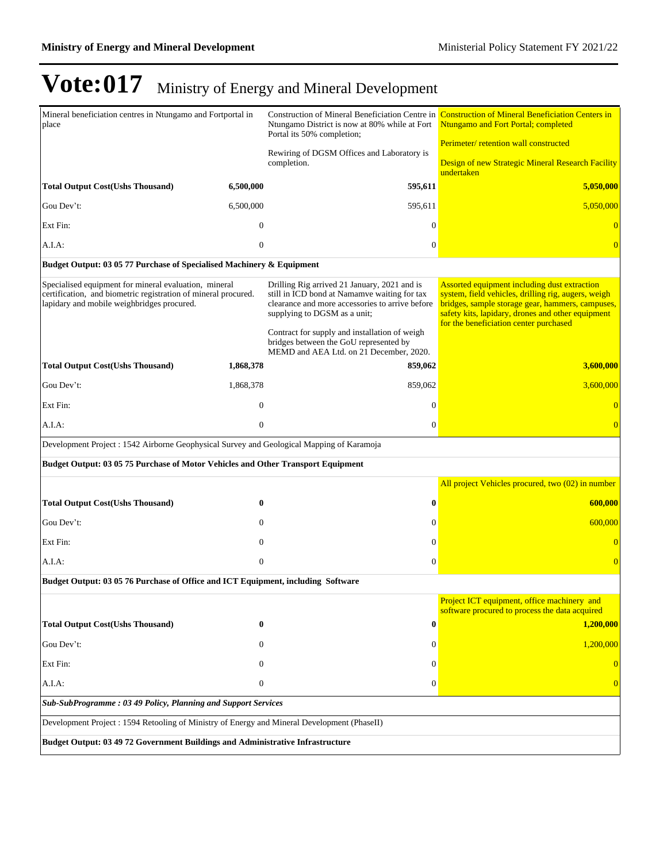| Mineral beneficiation centres in Ntungamo and Fortportal in<br>place                                                                                                  |                                                                                       | Ntungamo District is now at 80% while at Fort<br>Portal its 50% completion;                                                                                                                                                      | Construction of Mineral Beneficiation Centre in Construction of Mineral Beneficiation Centers in<br>Ntungamo and Fort Portal; completed                                                                                                                |  |  |
|-----------------------------------------------------------------------------------------------------------------------------------------------------------------------|---------------------------------------------------------------------------------------|----------------------------------------------------------------------------------------------------------------------------------------------------------------------------------------------------------------------------------|--------------------------------------------------------------------------------------------------------------------------------------------------------------------------------------------------------------------------------------------------------|--|--|
|                                                                                                                                                                       |                                                                                       | Rewiring of DGSM Offices and Laboratory is                                                                                                                                                                                       | Perimeter/ retention wall constructed                                                                                                                                                                                                                  |  |  |
|                                                                                                                                                                       |                                                                                       | completion.                                                                                                                                                                                                                      | Design of new Strategic Mineral Research Facility<br>undertaken                                                                                                                                                                                        |  |  |
| <b>Total Output Cost(Ushs Thousand)</b>                                                                                                                               | 6,500,000                                                                             | 595,611                                                                                                                                                                                                                          | 5,050,000                                                                                                                                                                                                                                              |  |  |
| Gou Dev't:                                                                                                                                                            | 6,500,000                                                                             | 595,611                                                                                                                                                                                                                          | 5,050,000                                                                                                                                                                                                                                              |  |  |
| Ext Fin:                                                                                                                                                              | $\overline{0}$                                                                        | $\overline{0}$                                                                                                                                                                                                                   |                                                                                                                                                                                                                                                        |  |  |
| A.I.A:                                                                                                                                                                | $\overline{0}$                                                                        | $\overline{0}$                                                                                                                                                                                                                   |                                                                                                                                                                                                                                                        |  |  |
| Budget Output: 03 05 77 Purchase of Specialised Machinery & Equipment                                                                                                 |                                                                                       |                                                                                                                                                                                                                                  |                                                                                                                                                                                                                                                        |  |  |
| Specialised equipment for mineral evaluation, mineral<br>certification, and biometric registration of mineral procured.<br>lapidary and mobile weighbridges procured. |                                                                                       | Drilling Rig arrived 21 January, 2021 and is<br>still in ICD bond at Namamve waiting for tax<br>clearance and more accessories to arrive before<br>supplying to DGSM as a unit;<br>Contract for supply and installation of weigh | Assorted equipment including dust extraction<br>system, field vehicles, drilling rig, augers, weigh<br>bridges, sample storage gear, hammers, campuses,<br>safety kits, lapidary, drones and other equipment<br>for the beneficiation center purchased |  |  |
|                                                                                                                                                                       |                                                                                       | bridges between the GoU represented by<br>MEMD and AEA Ltd. on 21 December, 2020.                                                                                                                                                |                                                                                                                                                                                                                                                        |  |  |
| <b>Total Output Cost(Ushs Thousand)</b>                                                                                                                               | 1,868,378                                                                             | 859,062                                                                                                                                                                                                                          | 3,600,000                                                                                                                                                                                                                                              |  |  |
| Gou Dev't:                                                                                                                                                            | 1,868,378                                                                             | 859,062                                                                                                                                                                                                                          | 3,600,000                                                                                                                                                                                                                                              |  |  |
| Ext Fin:                                                                                                                                                              | $\boldsymbol{0}$                                                                      | $\Omega$                                                                                                                                                                                                                         |                                                                                                                                                                                                                                                        |  |  |
| A.I.A:                                                                                                                                                                | $\overline{0}$                                                                        | $\theta$                                                                                                                                                                                                                         |                                                                                                                                                                                                                                                        |  |  |
| Development Project : 1542 Airborne Geophysical Survey and Geological Mapping of Karamoja                                                                             |                                                                                       |                                                                                                                                                                                                                                  |                                                                                                                                                                                                                                                        |  |  |
| Budget Output: 03 05 75 Purchase of Motor Vehicles and Other Transport Equipment                                                                                      |                                                                                       |                                                                                                                                                                                                                                  |                                                                                                                                                                                                                                                        |  |  |
|                                                                                                                                                                       |                                                                                       |                                                                                                                                                                                                                                  | All project Vehicles procured, two (02) in number                                                                                                                                                                                                      |  |  |
| <b>Total Output Cost(Ushs Thousand)</b>                                                                                                                               | $\bf{0}$                                                                              | $\bf{0}$                                                                                                                                                                                                                         | 600,000                                                                                                                                                                                                                                                |  |  |
| Gou Dev't:                                                                                                                                                            | $\theta$                                                                              | $\mathbf{0}$                                                                                                                                                                                                                     | 600,000                                                                                                                                                                                                                                                |  |  |
| Ext Fin:                                                                                                                                                              | $\overline{0}$                                                                        | $\theta$                                                                                                                                                                                                                         |                                                                                                                                                                                                                                                        |  |  |
| A.I.A:                                                                                                                                                                | $\mathbf{0}$                                                                          | $\boldsymbol{0}$                                                                                                                                                                                                                 |                                                                                                                                                                                                                                                        |  |  |
| Budget Output: 03 05 76 Purchase of Office and ICT Equipment, including Software                                                                                      |                                                                                       |                                                                                                                                                                                                                                  |                                                                                                                                                                                                                                                        |  |  |
|                                                                                                                                                                       |                                                                                       |                                                                                                                                                                                                                                  | Project ICT equipment, office machinery and<br>software procured to process the data acquired                                                                                                                                                          |  |  |
| <b>Total Output Cost(Ushs Thousand)</b>                                                                                                                               | $\bf{0}$                                                                              | $\boldsymbol{0}$                                                                                                                                                                                                                 | 1,200,000                                                                                                                                                                                                                                              |  |  |
| Gou Dev't:                                                                                                                                                            | 0                                                                                     | $\mathbf{0}$                                                                                                                                                                                                                     | 1,200,000                                                                                                                                                                                                                                              |  |  |
| Ext Fin:                                                                                                                                                              | 0                                                                                     | $\Omega$                                                                                                                                                                                                                         | $\overline{0}$                                                                                                                                                                                                                                         |  |  |
| A.I.A:                                                                                                                                                                | $\mathbf{0}$                                                                          | $\theta$                                                                                                                                                                                                                         | 0                                                                                                                                                                                                                                                      |  |  |
| Sub-SubProgramme: 03 49 Policy, Planning and Support Services                                                                                                         |                                                                                       |                                                                                                                                                                                                                                  |                                                                                                                                                                                                                                                        |  |  |
| Development Project : 1594 Retooling of Ministry of Energy and Mineral Development (PhaseII)                                                                          |                                                                                       |                                                                                                                                                                                                                                  |                                                                                                                                                                                                                                                        |  |  |
|                                                                                                                                                                       | <b>Budget Output: 03 49 72 Government Buildings and Administrative Infrastructure</b> |                                                                                                                                                                                                                                  |                                                                                                                                                                                                                                                        |  |  |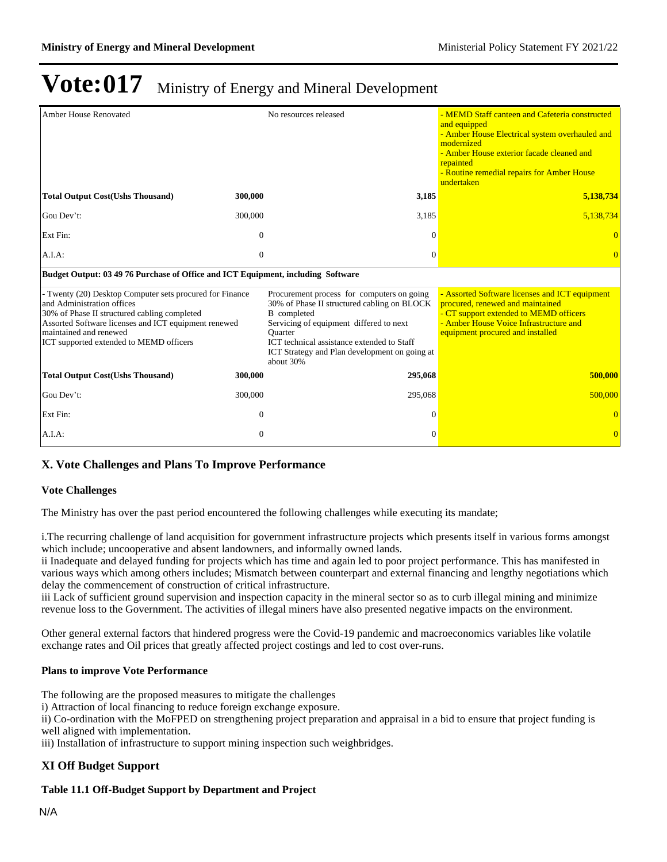| <b>Amber House Renovated</b>                                                                                                                                                                                                                                        |                | No resources released                                                                                                                                                                                                                                                             | - MEMD Staff canteen and Cafeteria constructed<br>and equipped<br>- Amber House Electrical system overhauled and<br>modernized<br>- Amber House exterior facade cleaned and<br>repainted<br>- Routine remedial repairs for Amber House<br>undertaken |
|---------------------------------------------------------------------------------------------------------------------------------------------------------------------------------------------------------------------------------------------------------------------|----------------|-----------------------------------------------------------------------------------------------------------------------------------------------------------------------------------------------------------------------------------------------------------------------------------|------------------------------------------------------------------------------------------------------------------------------------------------------------------------------------------------------------------------------------------------------|
| <b>Total Output Cost(Ushs Thousand)</b>                                                                                                                                                                                                                             | 300,000        | 3,185                                                                                                                                                                                                                                                                             | 5,138,734                                                                                                                                                                                                                                            |
| Gou Dev't:                                                                                                                                                                                                                                                          | 300,000        | 3,185                                                                                                                                                                                                                                                                             | 5,138,734                                                                                                                                                                                                                                            |
| Ext Fin:                                                                                                                                                                                                                                                            | $\mathbf{0}$   | $\Omega$                                                                                                                                                                                                                                                                          |                                                                                                                                                                                                                                                      |
| $A.I.A$ :                                                                                                                                                                                                                                                           | $\mathbf{0}$   | $\Omega$                                                                                                                                                                                                                                                                          |                                                                                                                                                                                                                                                      |
| Budget Output: 03 49 76 Purchase of Office and ICT Equipment, including Software                                                                                                                                                                                    |                |                                                                                                                                                                                                                                                                                   |                                                                                                                                                                                                                                                      |
| - Twenty (20) Desktop Computer sets procured for Finance<br>and Administration offices<br>30% of Phase II structured cabling completed<br>Assorted Software licenses and ICT equipment renewed<br>maintained and renewed<br>ICT supported extended to MEMD officers |                | Procurement process for computers on going<br>30% of Phase II structured cabling on BLOCK<br>B completed<br>Servicing of equipment differed to next<br><b>Ouarter</b><br>ICT technical assistance extended to Staff<br>ICT Strategy and Plan development on going at<br>about 30% | - Assorted Software licenses and ICT equipment<br>procured, renewed and maintained<br>- CT support extended to MEMD officers<br>- Amber House Voice Infrastructure and<br>equipment procured and installed                                           |
| <b>Total Output Cost (Ushs Thousand)</b>                                                                                                                                                                                                                            | 300,000        | 295,068                                                                                                                                                                                                                                                                           | 500,000                                                                                                                                                                                                                                              |
| Gou Dev't:                                                                                                                                                                                                                                                          | 300,000        | 295,068                                                                                                                                                                                                                                                                           | 500,000                                                                                                                                                                                                                                              |
| Ext Fin:                                                                                                                                                                                                                                                            | $\mathbf{0}$   | $\Omega$                                                                                                                                                                                                                                                                          |                                                                                                                                                                                                                                                      |
| A.I.A:                                                                                                                                                                                                                                                              | $\overline{0}$ | $\Omega$                                                                                                                                                                                                                                                                          | $\Omega$                                                                                                                                                                                                                                             |

### **X. Vote Challenges and Plans To Improve Performance**

#### **Vote Challenges**

The Ministry has over the past period encountered the following challenges while executing its mandate;

i.The recurring challenge of land acquisition for government infrastructure projects which presents itself in various forms amongst which include; uncooperative and absent landowners, and informally owned lands.

ii Inadequate and delayed funding for projects which has time and again led to poor project performance. This has manifested in various ways which among others includes; Mismatch between counterpart and external financing and lengthy negotiations which delay the commencement of construction of critical infrastructure.

iii Lack of sufficient ground supervision and inspection capacity in the mineral sector so as to curb illegal mining and minimize revenue loss to the Government. The activities of illegal miners have also presented negative impacts on the environment.

Other general external factors that hindered progress were the Covid-19 pandemic and macroeconomics variables like volatile exchange rates and Oil prices that greatly affected project costings and led to cost over-runs.

#### **Plans to improve Vote Performance**

The following are the proposed measures to mitigate the challenges

i) Attraction of local financing to reduce foreign exchange exposure.

ii) Co-ordination with the MoFPED on strengthening project preparation and appraisal in a bid to ensure that project funding is well aligned with implementation.

iii) Installation of infrastructure to support mining inspection such weighbridges.

### **XI Off Budget Support**

#### **Table 11.1 Off-Budget Support by Department and Project**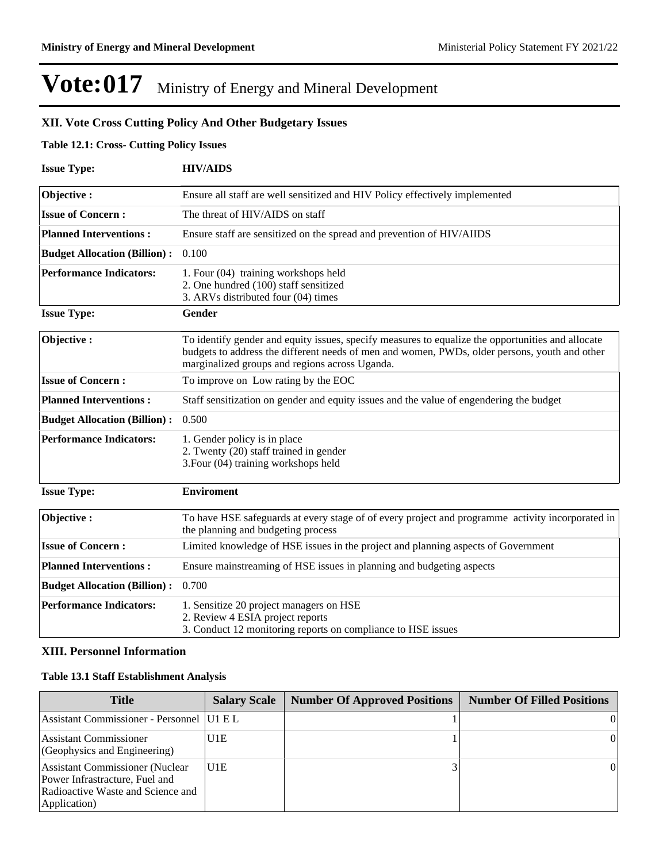### **XII. Vote Cross Cutting Policy And Other Budgetary Issues**

### **Table 12.1: Cross- Cutting Policy Issues**

| <b>Issue Type:</b>                  | <b>HIV/AIDS</b>                                                                                                                                                                                                                                      |
|-------------------------------------|------------------------------------------------------------------------------------------------------------------------------------------------------------------------------------------------------------------------------------------------------|
| Objective:                          | Ensure all staff are well sensitized and HIV Policy effectively implemented                                                                                                                                                                          |
| <b>Issue of Concern:</b>            | The threat of HIV/AIDS on staff                                                                                                                                                                                                                      |
| <b>Planned Interventions:</b>       | Ensure staff are sensitized on the spread and prevention of HIV/AIIDS                                                                                                                                                                                |
| <b>Budget Allocation (Billion):</b> | 0.100                                                                                                                                                                                                                                                |
| <b>Performance Indicators:</b>      | 1. Four (04) training workshops held<br>2. One hundred (100) staff sensitized<br>3. ARVs distributed four (04) times                                                                                                                                 |
| <b>Issue Type:</b>                  | Gender                                                                                                                                                                                                                                               |
| Objective:                          | To identify gender and equity issues, specify measures to equalize the opportunities and allocate<br>budgets to address the different needs of men and women, PWDs, older persons, youth and other<br>marginalized groups and regions across Uganda. |
| <b>Issue of Concern:</b>            | To improve on Low rating by the EOC                                                                                                                                                                                                                  |
| <b>Planned Interventions:</b>       | Staff sensitization on gender and equity issues and the value of engendering the budget                                                                                                                                                              |
| <b>Budget Allocation (Billion):</b> | 0.500                                                                                                                                                                                                                                                |
| <b>Performance Indicators:</b>      | 1. Gender policy is in place<br>2. Twenty (20) staff trained in gender<br>3. Four (04) training workshops held                                                                                                                                       |
| <b>Issue Type:</b>                  | <b>Enviroment</b>                                                                                                                                                                                                                                    |
| Objective:                          | To have HSE safeguards at every stage of of every project and programme activity incorporated in<br>the planning and budgeting process                                                                                                               |
| <b>Issue of Concern:</b>            | Limited knowledge of HSE issues in the project and planning aspects of Government                                                                                                                                                                    |
| <b>Planned Interventions:</b>       | Ensure mainstreaming of HSE issues in planning and budgeting aspects                                                                                                                                                                                 |
| <b>Budget Allocation (Billion):</b> | 0.700                                                                                                                                                                                                                                                |
| <b>Performance Indicators:</b>      | 1. Sensitize 20 project managers on HSE<br>2. Review 4 ESIA project reports<br>3. Conduct 12 monitoring reports on compliance to HSE issues                                                                                                          |

### **XIII. Personnel Information**

### **Table 13.1 Staff Establishment Analysis**

| <b>Title</b>                                                                                                                    | <b>Salary Scale</b> | <b>Number Of Approved Positions</b> | <b>Number Of Filled Positions</b> |
|---------------------------------------------------------------------------------------------------------------------------------|---------------------|-------------------------------------|-----------------------------------|
| Assistant Commissioner - Personnel   U1 E L                                                                                     |                     |                                     |                                   |
| Assistant Commissioner<br>(Geophysics and Engineering)                                                                          | U1E                 |                                     | $\overline{0}$                    |
| <b>Assistant Commissioner (Nuclear</b> )<br>Power Infrastracture, Fuel and<br>Radioactive Waste and Science and<br>Application) | IU1E                |                                     | $\overline{0}$                    |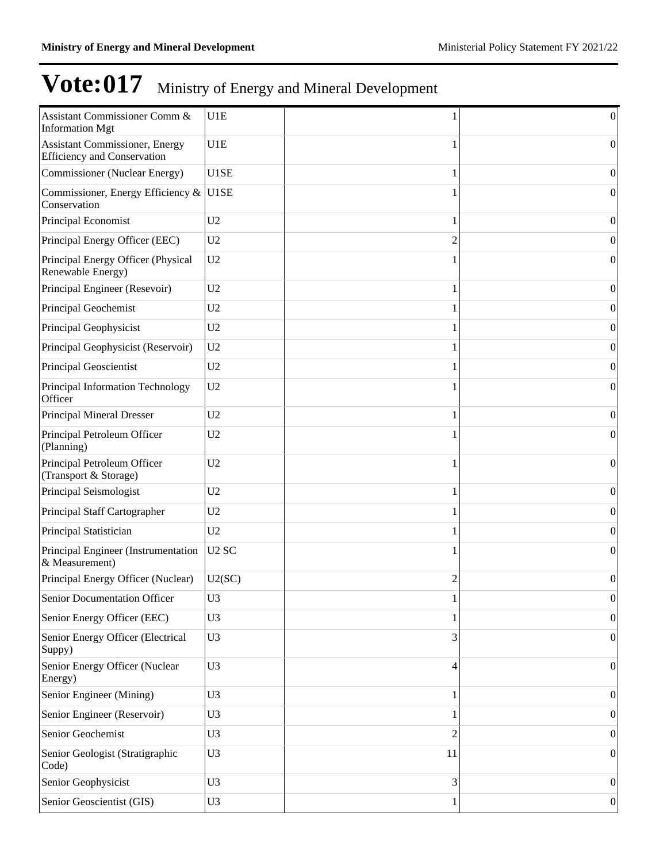| Assistant Commissioner Comm &<br><b>Information Mgt</b>                      | U1E               |                | $\vert 0 \vert$  |
|------------------------------------------------------------------------------|-------------------|----------------|------------------|
| <b>Assistant Commissioner</b> , Energy<br><b>Efficiency and Conservation</b> | U1E               | 1              | $\boldsymbol{0}$ |
| Commissioner (Nuclear Energy)                                                | U1SE              | 1              | $\Omega$         |
| Commissioner, Energy Efficiency &<br>Conservation                            | U1SE              |                | $\Omega$         |
| Principal Economist                                                          | U <sub>2</sub>    | 1              | $\boldsymbol{0}$ |
| Principal Energy Officer (EEC)                                               | U <sub>2</sub>    | $\overline{c}$ | $\boldsymbol{0}$ |
| Principal Energy Officer (Physical<br>Renewable Energy)                      | U <sub>2</sub>    |                | $\boldsymbol{0}$ |
| Principal Engineer (Resevoir)                                                | U <sub>2</sub>    | 1              | 0                |
| Principal Geochemist                                                         | U <sub>2</sub>    |                | $\boldsymbol{0}$ |
| Principal Geophysicist                                                       | U <sub>2</sub>    | 1              | $\boldsymbol{0}$ |
| Principal Geophysicist (Reservoir)                                           | U <sub>2</sub>    |                | $\boldsymbol{0}$ |
| Principal Geoscientist                                                       | U2                | 1              | $\boldsymbol{0}$ |
| Principal Information Technology<br>Officer                                  | U <sub>2</sub>    |                | $\boldsymbol{0}$ |
| Principal Mineral Dresser                                                    | U <sub>2</sub>    |                | $\Omega$         |
| Principal Petroleum Officer<br>(Planning)                                    | U <sub>2</sub>    | 1              | $\Omega$         |
| Principal Petroleum Officer<br>(Transport & Storage)                         | U <sub>2</sub>    | 1              | $\boldsymbol{0}$ |
| Principal Seismologist                                                       | U <sub>2</sub>    | 1              | $\boldsymbol{0}$ |
| Principal Staff Cartographer                                                 | U <sub>2</sub>    | 1              | $\boldsymbol{0}$ |
| Principal Statistician                                                       | U <sub>2</sub>    |                | $\boldsymbol{0}$ |
| Principal Engineer (Instrumentation<br>& Measurement)                        | U <sub>2</sub> SC | 1              | $\boldsymbol{0}$ |
| Principal Energy Officer (Nuclear)                                           | U2(SC)            | $\overline{2}$ | $\boldsymbol{0}$ |
| Senior Documentation Officer                                                 | U <sub>3</sub>    |                | 0                |
| Senior Energy Officer (EEC)                                                  | U <sub>3</sub>    |                | $\overline{0}$   |
| Senior Energy Officer (Electrical<br>Suppy)                                  | U <sub>3</sub>    | 3              | $\boldsymbol{0}$ |
| Senior Energy Officer (Nuclear<br>Energy)                                    | U <sub>3</sub>    | 4              | $\vert 0 \vert$  |
| Senior Engineer (Mining)                                                     | U <sub>3</sub>    | 1              | $\boldsymbol{0}$ |
| Senior Engineer (Reservoir)                                                  | U <sub>3</sub>    | 1              | $\vert 0 \vert$  |
| Senior Geochemist                                                            | U <sub>3</sub>    | $\overline{2}$ | $\boldsymbol{0}$ |
| Senior Geologist (Stratigraphic<br>Code)                                     | U <sub>3</sub>    | 11             | $\boldsymbol{0}$ |
| Senior Geophysicist                                                          | U <sub>3</sub>    | 3              | $\vert 0 \vert$  |
| Senior Geoscientist (GIS)                                                    | U <sub>3</sub>    | 1              | 0                |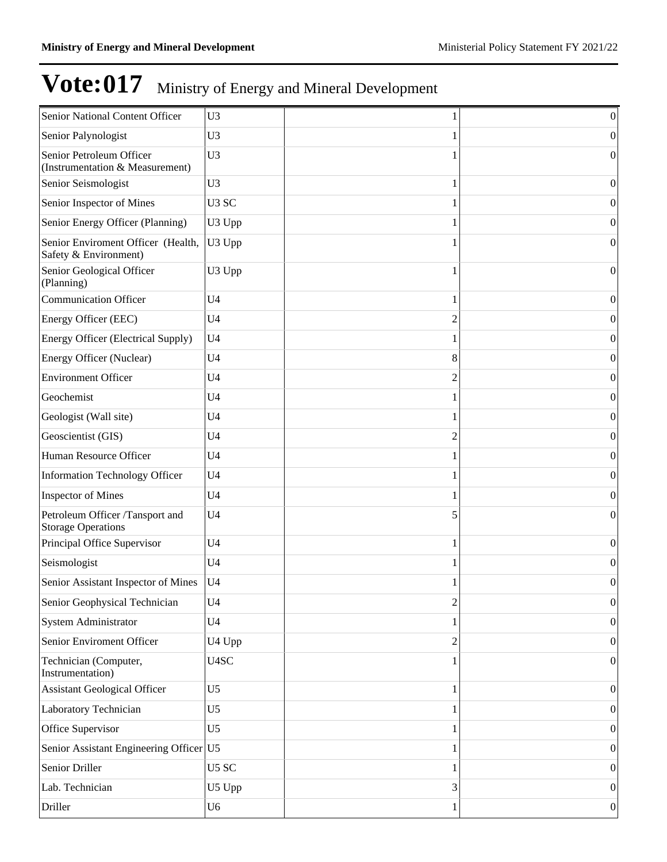| Senior National Content Officer                              | U <sub>3</sub>    |                | $\boldsymbol{0}$ |
|--------------------------------------------------------------|-------------------|----------------|------------------|
| Senior Palynologist                                          | U <sub>3</sub>    |                | $\overline{0}$   |
| Senior Petroleum Officer<br>(Instrumentation & Measurement)  | U <sub>3</sub>    |                | $\overline{0}$   |
| Senior Seismologist                                          | U <sub>3</sub>    | 1              | $\vert 0 \vert$  |
| Senior Inspector of Mines                                    | U <sub>3</sub> SC |                | $\overline{0}$   |
| Senior Energy Officer (Planning)                             | U3 Upp            |                | $\vert 0 \vert$  |
| Senior Enviroment Officer (Health,<br>Safety & Environment)  | U3 Upp            |                | $\overline{0}$   |
| Senior Geological Officer<br>(Planning)                      | U3 Upp            |                | $\overline{0}$   |
| <b>Communication Officer</b>                                 | U <sub>4</sub>    | 1              | $\theta$         |
| Energy Officer (EEC)                                         | U <sub>4</sub>    | 2              | $\theta$         |
| Energy Officer (Electrical Supply)                           | U <sub>4</sub>    |                | $\theta$         |
| Energy Officer (Nuclear)                                     | U <sub>4</sub>    | 8              | $\theta$         |
| Environment Officer                                          | U <sub>4</sub>    | 2              | $\theta$         |
| Geochemist                                                   | U <sub>4</sub>    |                | $\theta$         |
| Geologist (Wall site)                                        | U <sub>4</sub>    |                | $\theta$         |
| Geoscientist (GIS)                                           | U <sub>4</sub>    | 2              | $\theta$         |
| Human Resource Officer                                       | U <sub>4</sub>    |                | $\theta$         |
| Information Technology Officer                               | U <sub>4</sub>    |                | $\theta$         |
| <b>Inspector of Mines</b>                                    | U <sub>4</sub>    |                | $\theta$         |
| Petroleum Officer /Tansport and<br><b>Storage Operations</b> | U <sub>4</sub>    | 5              | $\theta$         |
| Principal Office Supervisor                                  | U <sub>4</sub>    | 1              | $\overline{0}$   |
| Seismologist                                                 | U <sub>4</sub>    |                | $\boldsymbol{0}$ |
| Senior Assistant Inspector of Mines                          | U <sub>4</sub>    | 1              | 0                |
| Senior Geophysical Technician                                | U <sub>4</sub>    | $\overline{c}$ | $\vert 0 \vert$  |
| System Administrator                                         | U <sub>4</sub>    | 1              | $\vert 0 \vert$  |
| Senior Enviroment Officer                                    | U4 Upp            | $\overline{c}$ | $\vert 0 \vert$  |
| Technician (Computer,<br>Instrumentation)                    | U4SC              |                | $\vert 0 \vert$  |
| <b>Assistant Geological Officer</b>                          | U <sub>5</sub>    | 1              | $\boldsymbol{0}$ |
| Laboratory Technician                                        | U <sub>5</sub>    |                | $\boldsymbol{0}$ |
| Office Supervisor                                            | U <sub>5</sub>    |                | $\boldsymbol{0}$ |
| Senior Assistant Engineering Officer U5                      |                   |                | $\boldsymbol{0}$ |
| Senior Driller                                               | U5 SC             |                | $\boldsymbol{0}$ |
| Lab. Technician                                              | U5 Upp            | 3              | $\boldsymbol{0}$ |
| Driller                                                      | U <sub>6</sub>    |                | $\vert 0 \vert$  |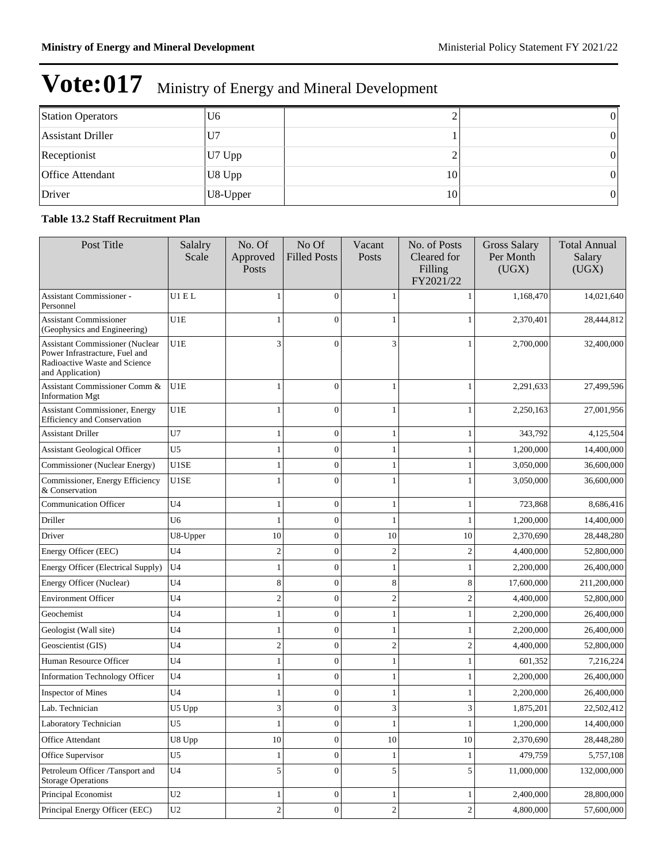| <b>Station Operators</b> | U <sub>6</sub> |    |                 |
|--------------------------|----------------|----|-----------------|
| <b>Assistant Driller</b> | U <sub>7</sub> |    | $\vert 0 \vert$ |
| Receptionist             | U7 Upp         |    | 0               |
| <b>Office Attendant</b>  | U8 Upp         | 10 | 0               |
| Driver                   | U8-Upper       | 10 | 0'              |

### **Table 13.2 Staff Recruitment Plan**

| Post Title                                                                                                                    | Salalry<br>Scale | No. Of<br>Approved<br>Posts | No Of<br><b>Filled Posts</b> | Vacant<br>Posts | No. of Posts<br>Cleared for<br>Filling<br>FY2021/22 | <b>Gross Salary</b><br>Per Month<br>(UGX) | <b>Total Annual</b><br>Salary<br>(UGX) |
|-------------------------------------------------------------------------------------------------------------------------------|------------------|-----------------------------|------------------------------|-----------------|-----------------------------------------------------|-------------------------------------------|----------------------------------------|
| Assistant Commissioner -<br>Personnel                                                                                         | U1 E L           |                             | 0                            |                 |                                                     | 1,168,470                                 | 14,021,640                             |
| <b>Assistant Commissioner</b><br>(Geophysics and Engineering)                                                                 | U1E              | $\mathbf{1}$                | $\theta$                     |                 |                                                     | 2,370,401                                 | 28,444,812                             |
| <b>Assistant Commissioner (Nuclear</b><br>Power Infrastracture, Fuel and<br>Radioactive Waste and Science<br>and Application) | U1E              | 3                           | $\theta$                     | 3               |                                                     | 2,700,000                                 | 32,400,000                             |
| Assistant Commissioner Comm &<br><b>Information Mgt</b>                                                                       | U1E              | 1                           | $\theta$                     | 1               |                                                     | 2,291,633                                 | 27,499,596                             |
| Assistant Commissioner, Energy<br><b>Efficiency and Conservation</b>                                                          | U1E              | -1                          | $\Omega$                     |                 |                                                     | 2,250,163                                 | 27,001,956                             |
| <b>Assistant Driller</b>                                                                                                      | U7               | 1                           | $\overline{0}$               |                 |                                                     | 343,792                                   | 4,125,504                              |
| <b>Assistant Geological Officer</b>                                                                                           | U <sub>5</sub>   | 1                           | $\overline{0}$               | 1               |                                                     | 1,200,000                                 | 14,400,000                             |
| Commissioner (Nuclear Energy)                                                                                                 | U1SE             | 1                           | $\overline{0}$               | 1               |                                                     | 3,050,000                                 | 36,600,000                             |
| Commissioner, Energy Efficiency<br>& Conservation                                                                             | U1SE             | 1                           | $\theta$                     |                 |                                                     | 3,050,000                                 | 36,600,000                             |
| <b>Communication Officer</b>                                                                                                  | U4               | $\mathbf{1}$                | $\overline{0}$               | 1               |                                                     | 723,868                                   | 8,686,416                              |
| Driller                                                                                                                       | U6               | 1                           | $\overline{0}$               |                 |                                                     | 1,200,000                                 | 14,400,000                             |
| Driver                                                                                                                        | U8-Upper         | 10                          | $\mathbf{0}$                 | 10              | 10                                                  | 2,370,690                                 | 28,448,280                             |
| Energy Officer (EEC)                                                                                                          | U4               | $\overline{\mathbf{c}}$     | $\Omega$                     | $\overline{2}$  | $\mathfrak{2}$                                      | 4,400,000                                 | 52,800,000                             |
| Energy Officer (Electrical Supply)                                                                                            | U4               | 1                           | $\mathbf{0}$                 | 1               |                                                     | 2,200,000                                 | 26,400,000                             |
| Energy Officer (Nuclear)                                                                                                      | U <sub>4</sub>   | 8                           | $\mathbf{0}$                 | 8               | 8                                                   | 17,600,000                                | 211,200,000                            |
| <b>Environment Officer</b>                                                                                                    | U <sub>4</sub>   | $\overline{c}$              | $\mathbf{0}$                 | $\overline{2}$  | $\overline{c}$                                      | 4,400,000                                 | 52,800,000                             |
| Geochemist                                                                                                                    | U <sub>4</sub>   | 1                           | $\mathbf{0}$                 |                 |                                                     | 2,200,000                                 | 26,400,000                             |
| Geologist (Wall site)                                                                                                         | U <sub>4</sub>   | 1                           | $\Omega$                     |                 |                                                     | 2,200,000                                 | 26,400,000                             |
| Geoscientist (GIS)                                                                                                            | U4               | $\overline{c}$              | $\mathbf{0}$                 | $\overline{2}$  | 2                                                   | 4,400,000                                 | 52,800,000                             |
| Human Resource Officer                                                                                                        | U <sub>4</sub>   | $\mathbf{1}$                | $\mathbf{0}$                 |                 |                                                     | 601,352                                   | 7,216,224                              |
| <b>Information Technology Officer</b>                                                                                         | U <sub>4</sub>   | 1                           | $\mathbf{0}$                 |                 |                                                     | 2,200,000                                 | 26,400,000                             |
| <b>Inspector of Mines</b>                                                                                                     | U <sub>4</sub>   | 1                           | $\mathbf{0}$                 |                 |                                                     | 2,200,000                                 | 26,400,000                             |
| Lab. Technician                                                                                                               | U5 Upp           | 3                           | $\overline{0}$               | 3               | 3                                                   | 1,875,201                                 | 22,502,412                             |
| Laboratory Technician                                                                                                         | U <sub>5</sub>   | 1                           | 0                            | $\mathbf{I}$    | $\mathbf{r}$                                        | 1,200,000                                 | 14,400,000                             |
| Office Attendant                                                                                                              | U8 Upp           | 10                          | $\overline{0}$               | $10\,$          | $10\,$                                              | 2,370,690                                 | 28,448,280                             |
| Office Supervisor                                                                                                             | U <sub>5</sub>   | 1                           | $\boldsymbol{0}$             | $\mathbf{1}$    | 1                                                   | 479,759                                   | 5,757,108                              |
| Petroleum Officer /Tansport and<br><b>Storage Operations</b>                                                                  | U <sub>4</sub>   | 5                           | $\boldsymbol{0}$             | 5               | 5                                                   | 11,000,000                                | 132,000,000                            |
| Principal Economist                                                                                                           | $\,$ U2 $\,$     | 1                           | $\boldsymbol{0}$             | 1               | 1                                                   | 2,400,000                                 | 28,800,000                             |
| Principal Energy Officer (EEC)                                                                                                | U2               | $\overline{\mathbf{c}}$     | $\boldsymbol{0}$             | $\sqrt{2}$      | $\mathbf{2}$                                        | 4,800,000                                 | 57,600,000                             |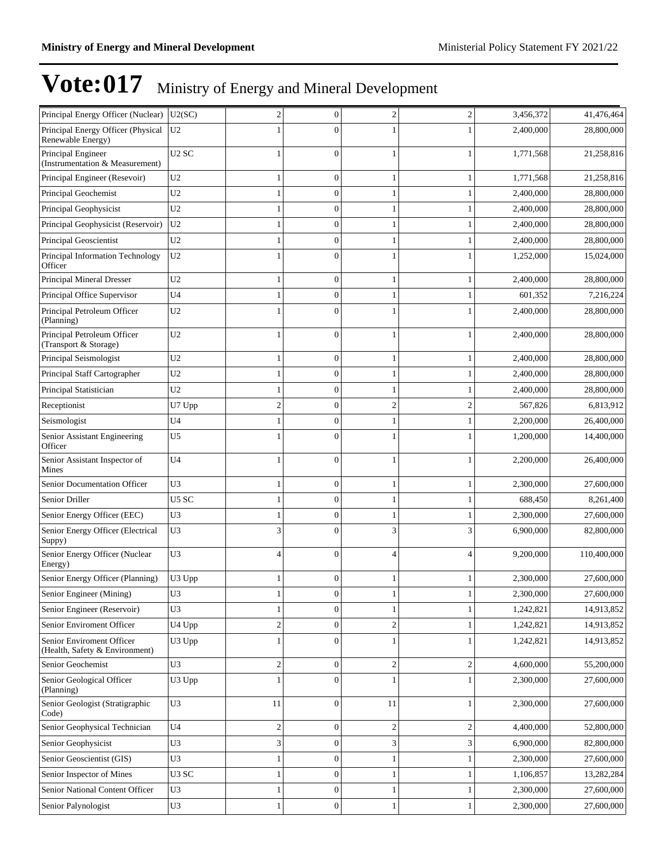| Principal Energy Officer (Nuclear)                          | U2(SC)            | $\overline{c}$   | $\boldsymbol{0}$ | $\overline{c}$ | $\overline{c}$ | 3,456,372 | 41,476,464  |
|-------------------------------------------------------------|-------------------|------------------|------------------|----------------|----------------|-----------|-------------|
| Principal Energy Officer (Physical<br>Renewable Energy)     | U <sub>2</sub>    |                  | $\Omega$         |                |                | 2,400,000 | 28,800,000  |
| Principal Engineer<br>(Instrumentation & Measurement)       | U <sub>2</sub> SC | 1                | $\Omega$         |                |                | 1,771,568 | 21,258,816  |
| Principal Engineer (Resevoir)                               | U <sub>2</sub>    | 1                | $\mathbf{0}$     | 1              | 1              | 1,771,568 | 21,258,816  |
| Principal Geochemist                                        | U2                | 1                | $\overline{0}$   |                | 1              | 2,400,000 | 28,800,000  |
| Principal Geophysicist                                      | U <sub>2</sub>    | 1                | 0                |                |                | 2,400,000 | 28,800,000  |
| Principal Geophysicist (Reservoir)                          | U <sub>2</sub>    | 1                | $\theta$         |                |                | 2,400,000 | 28,800,000  |
| Principal Geoscientist                                      | U <sub>2</sub>    | 1                | $\mathbf{0}$     |                | 1              | 2,400,000 | 28,800,000  |
| Principal Information Technology<br>Officer                 | U <sub>2</sub>    | 1                | $\Omega$         |                |                | 1,252,000 | 15,024,000  |
| Principal Mineral Dresser                                   | U2                | 1                | $\mathbf{0}$     |                |                | 2,400,000 | 28,800,000  |
| Principal Office Supervisor                                 | U <sub>4</sub>    | 1                | $\mathbf{0}$     |                | 1              | 601,352   | 7,216,224   |
| Principal Petroleum Officer<br>(Planning)                   | U2                | 1                | $\theta$         |                |                | 2,400,000 | 28,800,000  |
| Principal Petroleum Officer<br>(Transport & Storage)        | U2                | 1                | $\Omega$         |                |                | 2,400,000 | 28,800,000  |
| Principal Seismologist                                      | U2                | 1                | $\mathbf{0}$     |                |                | 2,400,000 | 28,800,000  |
| Principal Staff Cartographer                                | U2                | 1                | $\mathbf{0}$     |                | 1              | 2,400,000 | 28,800,000  |
| Principal Statistician                                      | U2                | $\mathbf{1}$     | $\mathbf{0}$     |                |                | 2,400,000 | 28,800,000  |
| Receptionist                                                | U7 Upp            | $\overline{c}$   | $\mathbf{0}$     | $\overline{2}$ | $\overline{c}$ | 567,826   | 6,813,912   |
| Seismologist                                                | U <sub>4</sub>    | $\mathbf{1}$     | $\overline{0}$   |                | 1              | 2,200,000 | 26,400,000  |
| Senior Assistant Engineering<br>Officer                     | U5                | 1                | $\theta$         |                |                | 1,200,000 | 14,400,000  |
| Senior Assistant Inspector of<br>Mines                      | U <sub>4</sub>    | 1                | $\mathbf{0}$     |                |                | 2,200,000 | 26,400,000  |
| Senior Documentation Officer                                | U3                | 1                | $\mathbf{0}$     |                | 1              | 2,300,000 | 27,600,000  |
| Senior Driller                                              | U5 SC             | 1                | $\overline{0}$   |                |                | 688,450   | 8,261,400   |
| Senior Energy Officer (EEC)                                 | U3                | 1                | $\Omega$         |                |                | 2,300,000 | 27,600,000  |
| Senior Energy Officer (Electrical<br>Suppy)                 | U3                | 3                | $\Omega$         | 3              | 3              | 6,900,000 | 82,800,000  |
| Senior Energy Officer (Nuclear<br>Energy)                   | U3                | 4                | $\Omega$         | $\overline{A}$ | Δ              | 9,200,000 | 110,400,000 |
| Senior Energy Officer (Planning)                            | U3 Upp            | 1                | $\boldsymbol{0}$ |                |                | 2,300,000 | 27,600,000  |
| Senior Engineer (Mining)                                    | U3                |                  | $\Omega$         |                |                | 2,300,000 | 27,600,000  |
| Senior Engineer (Reservoir)                                 | U3                | 1                | $\boldsymbol{0}$ | 1              | 1              | 1,242,821 | 14,913,852  |
| Senior Enviroment Officer                                   | U4 Upp            | $\boldsymbol{2}$ | $\mathbf{0}$     | $\overline{2}$ | 1              | 1,242,821 | 14,913,852  |
| Senior Enviroment Officer<br>(Health, Safety & Environment) | U3 Upp            | $\mathbf{1}$     | $\mathbf{0}$     |                | 1              | 1,242,821 | 14,913,852  |
| Senior Geochemist                                           | U3                | $\boldsymbol{2}$ | $\mathbf{0}$     | $\sqrt{2}$     | $\overline{c}$ | 4,600,000 | 55,200,000  |
| Senior Geological Officer<br>(Planning)                     | U3 Upp            | $\mathbf{1}$     | $\mathbf{0}$     |                | 1              | 2,300,000 | 27,600,000  |
| Senior Geologist (Stratigraphic<br>Code)                    | U3                | 11               | $\mathbf{0}$     | 11             | 1              | 2,300,000 | 27,600,000  |
| Senior Geophysical Technician                               | U4                | $\overline{c}$   | $\mathbf{0}$     | $\overline{c}$ | $\overline{c}$ | 4,400,000 | 52,800,000  |
| Senior Geophysicist                                         | U3                | 3                | $\boldsymbol{0}$ | $\mathfrak{Z}$ | 3              | 6,900,000 | 82,800,000  |
| Senior Geoscientist (GIS)                                   | U <sub>3</sub>    | $\mathbf{1}$     | $\mathbf{0}$     | $\mathbf{1}$   | 1              | 2,300,000 | 27,600,000  |
| Senior Inspector of Mines                                   | U3 SC             | 1                | $\boldsymbol{0}$ |                | $\mathbf{1}$   | 1,106,857 | 13,282,284  |
| Senior National Content Officer                             | U3                | 1                | $\boldsymbol{0}$ |                | 1              | 2,300,000 | 27,600,000  |
| Senior Palynologist                                         | U3                | $\mathbf{1}$     | $\mathbf{0}$     |                | 1              | 2,300,000 | 27,600,000  |